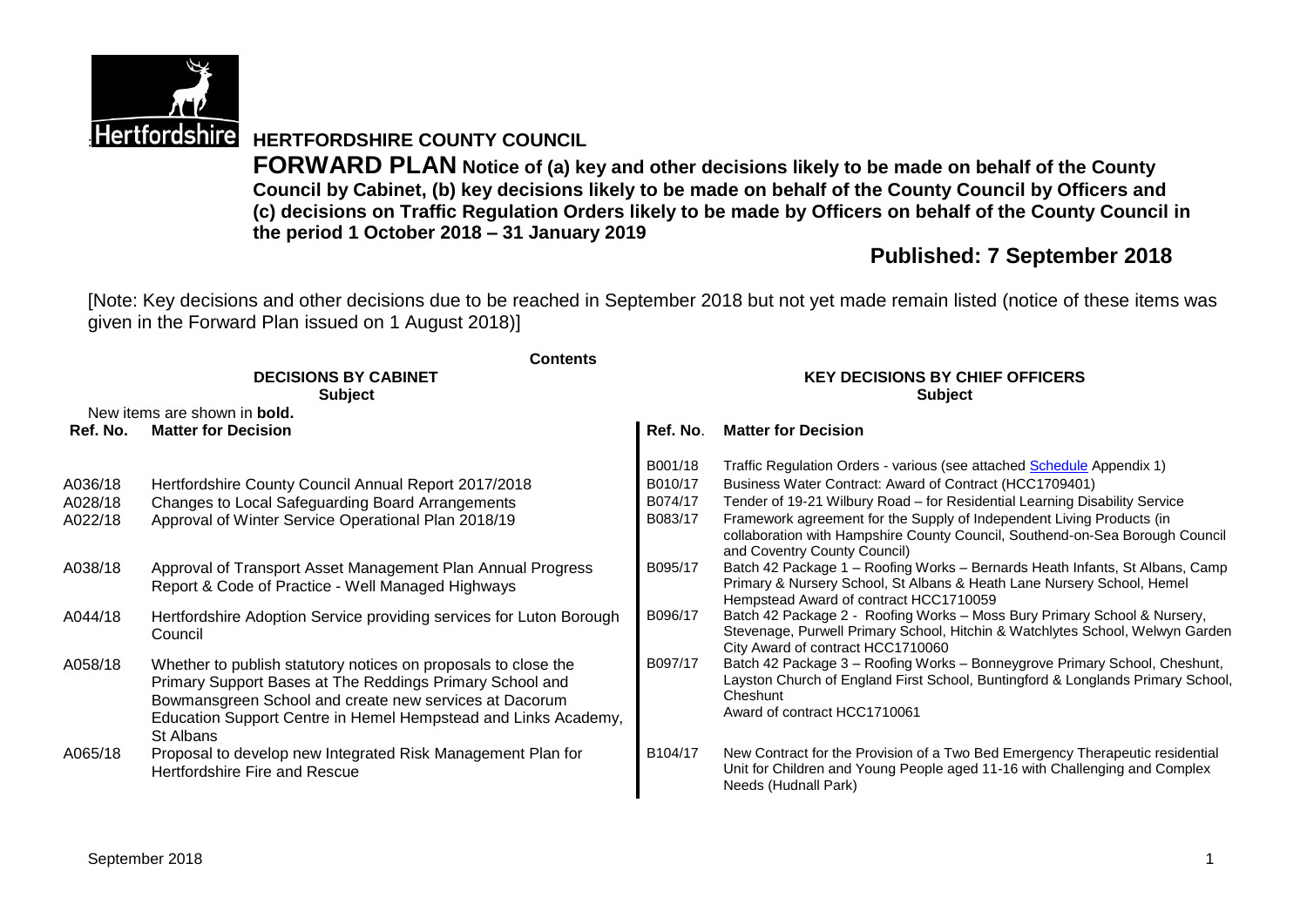

# **Hertfordshire HERTFORDSHIRE COUNTY COUNCIL**

**FORWARD PLAN Notice of (a) key and other decisions likely to be made on behalf of the County Council by Cabinet, (b) key decisions likely to be made on behalf of the County Council by Officers and (c) decisions on Traffic Regulation Orders likely to be made by Officers on behalf of the County Council in the period 1 October 2018 – 31 January 2019**

# **Published: 7 September 2018**

[Note: Key decisions and other decisions due to be reached in September 2018 but not yet made remain listed (notice of these items was given in the Forward Plan issued on 1 August 2018)]

|          | <b>Contents</b>                                                                                                                                                                                                                                                     |                                        |                                                                                                                                                                                                           |  |  |
|----------|---------------------------------------------------------------------------------------------------------------------------------------------------------------------------------------------------------------------------------------------------------------------|----------------------------------------|-----------------------------------------------------------------------------------------------------------------------------------------------------------------------------------------------------------|--|--|
|          | <b>DECISIONS BY CABINET</b>                                                                                                                                                                                                                                         | <b>KEY DECISIONS BY CHIEF OFFICERS</b> |                                                                                                                                                                                                           |  |  |
|          | <b>Subject</b>                                                                                                                                                                                                                                                      |                                        | <b>Subject</b>                                                                                                                                                                                            |  |  |
|          | New items are shown in <b>bold.</b>                                                                                                                                                                                                                                 |                                        |                                                                                                                                                                                                           |  |  |
| Ref. No. | <b>Matter for Decision</b>                                                                                                                                                                                                                                          | Ref. No.                               | <b>Matter for Decision</b>                                                                                                                                                                                |  |  |
|          |                                                                                                                                                                                                                                                                     | B001/18                                | Traffic Regulation Orders - various (see attached Schedule Appendix 1)                                                                                                                                    |  |  |
| A036/18  | Hertfordshire County Council Annual Report 2017/2018                                                                                                                                                                                                                | B010/17                                | Business Water Contract: Award of Contract (HCC1709401)                                                                                                                                                   |  |  |
| A028/18  | Changes to Local Safeguarding Board Arrangements                                                                                                                                                                                                                    | B074/17                                | Tender of 19-21 Wilbury Road - for Residential Learning Disability Service                                                                                                                                |  |  |
| A022/18  | Approval of Winter Service Operational Plan 2018/19                                                                                                                                                                                                                 | B083/17                                | Framework agreement for the Supply of Independent Living Products (in<br>collaboration with Hampshire County Council, Southend-on-Sea Borough Council<br>and Coventry County Council)                     |  |  |
| A038/18  | Approval of Transport Asset Management Plan Annual Progress<br>Report & Code of Practice - Well Managed Highways                                                                                                                                                    | B095/17                                | Batch 42 Package 1 - Roofing Works - Bernards Heath Infants, St Albans, Camp<br>Primary & Nursery School, St Albans & Heath Lane Nursery School, Hemel<br>Hempstead Award of contract HCC1710059          |  |  |
| A044/18  | Hertfordshire Adoption Service providing services for Luton Borough<br>Council                                                                                                                                                                                      | B096/17                                | Batch 42 Package 2 - Roofing Works - Moss Bury Primary School & Nursery,<br>Stevenage, Purwell Primary School, Hitchin & Watchlytes School, Welwyn Garden<br>City Award of contract HCC1710060            |  |  |
| A058/18  | Whether to publish statutory notices on proposals to close the<br>Primary Support Bases at The Reddings Primary School and<br>Bowmansgreen School and create new services at Dacorum<br>Education Support Centre in Hemel Hempstead and Links Academy,<br>St Albans | B097/17                                | Batch 42 Package 3 - Roofing Works - Bonneygrove Primary School, Cheshunt,<br>Layston Church of England First School, Buntingford & Longlands Primary School,<br>Cheshunt<br>Award of contract HCC1710061 |  |  |
| A065/18  | Proposal to develop new Integrated Risk Management Plan for<br>Hertfordshire Fire and Rescue                                                                                                                                                                        | B104/17                                | New Contract for the Provision of a Two Bed Emergency Therapeutic residential<br>Unit for Children and Young People aged 11-16 with Challenging and Complex<br>Needs (Hudnall Park)                       |  |  |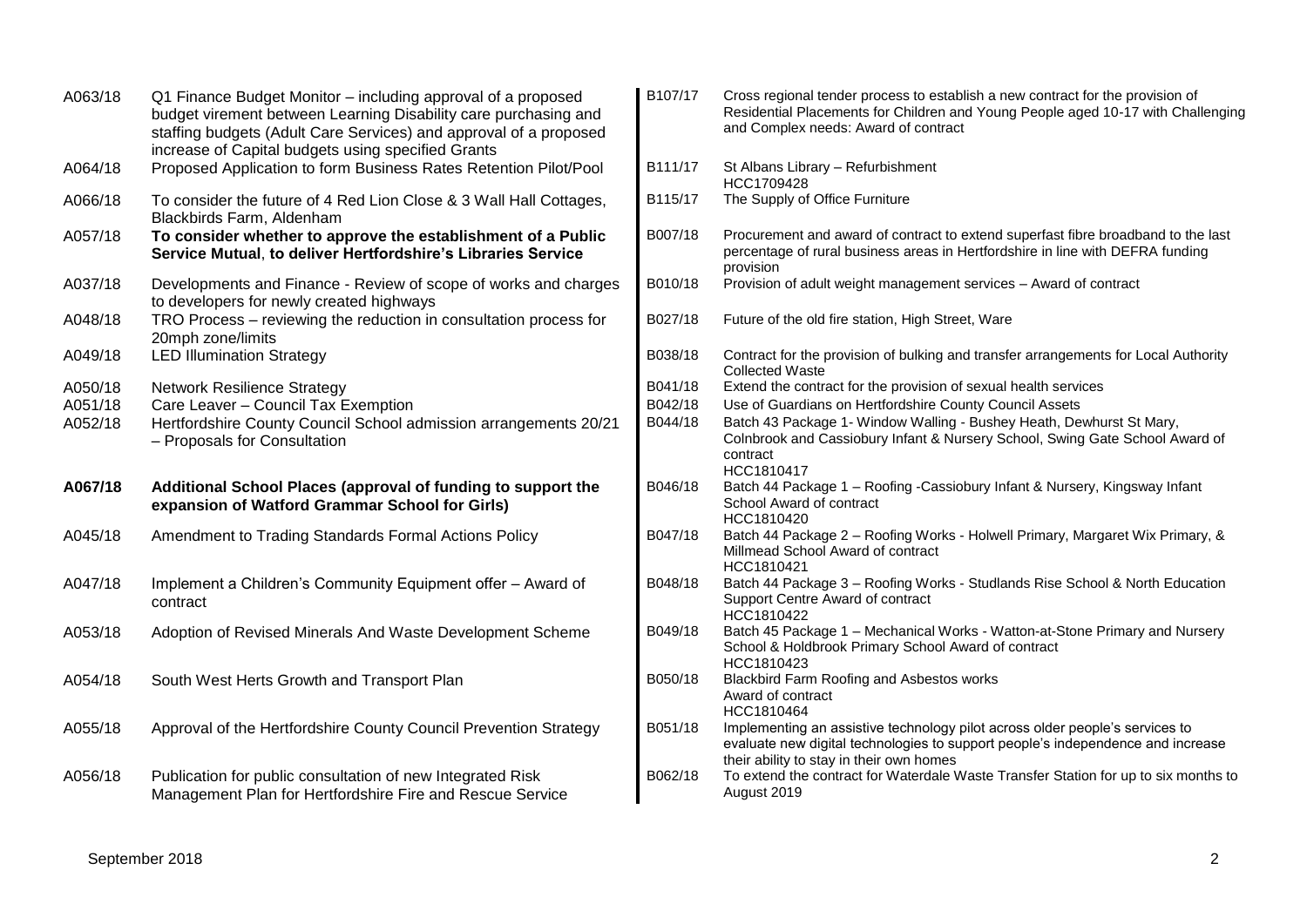| A063/18 | Q1 Finance Budget Monitor - including approval of a proposed<br>budget virement between Learning Disability care purchasing and<br>staffing budgets (Adult Care Services) and approval of a proposed<br>increase of Capital budgets using specified Grants | B107/17 | Cross regional tender process to establish a new contract for the provision of<br>Residential Placements for Children and Young People aged 10-17 with Challenging<br>and Complex needs: Award of contract  |
|---------|------------------------------------------------------------------------------------------------------------------------------------------------------------------------------------------------------------------------------------------------------------|---------|-------------------------------------------------------------------------------------------------------------------------------------------------------------------------------------------------------------|
| A064/18 | Proposed Application to form Business Rates Retention Pilot/Pool                                                                                                                                                                                           | B111/17 | St Albans Library - Refurbishment<br>HCC1709428                                                                                                                                                             |
| A066/18 | To consider the future of 4 Red Lion Close & 3 Wall Hall Cottages,<br>Blackbirds Farm, Aldenham                                                                                                                                                            | B115/17 | The Supply of Office Furniture                                                                                                                                                                              |
| A057/18 | To consider whether to approve the establishment of a Public<br>Service Mutual, to deliver Hertfordshire's Libraries Service                                                                                                                               | B007/18 | Procurement and award of contract to extend superfast fibre broadband to the last<br>percentage of rural business areas in Hertfordshire in line with DEFRA funding<br>provision                            |
| A037/18 | Developments and Finance - Review of scope of works and charges<br>to developers for newly created highways                                                                                                                                                | B010/18 | Provision of adult weight management services - Award of contract                                                                                                                                           |
| A048/18 | TRO Process - reviewing the reduction in consultation process for<br>20mph zone/limits                                                                                                                                                                     | B027/18 | Future of the old fire station, High Street, Ware                                                                                                                                                           |
| A049/18 | <b>LED Illumination Strategy</b>                                                                                                                                                                                                                           | B038/18 | Contract for the provision of bulking and transfer arrangements for Local Authority<br><b>Collected Waste</b>                                                                                               |
| A050/18 | <b>Network Resilience Strategy</b>                                                                                                                                                                                                                         | B041/18 | Extend the contract for the provision of sexual health services                                                                                                                                             |
| A051/18 | Care Leaver - Council Tax Exemption                                                                                                                                                                                                                        | B042/18 | Use of Guardians on Hertfordshire County Council Assets                                                                                                                                                     |
| A052/18 | Hertfordshire County Council School admission arrangements 20/21<br>- Proposals for Consultation                                                                                                                                                           | B044/18 | Batch 43 Package 1- Window Walling - Bushey Heath, Dewhurst St Mary,<br>Colnbrook and Cassiobury Infant & Nursery School, Swing Gate School Award of<br>contract<br>HCC1810417                              |
| A067/18 | Additional School Places (approval of funding to support the<br>expansion of Watford Grammar School for Girls)                                                                                                                                             | B046/18 | Batch 44 Package 1 - Roofing -Cassiobury Infant & Nursery, Kingsway Infant<br>School Award of contract<br>HCC1810420                                                                                        |
| A045/18 | Amendment to Trading Standards Formal Actions Policy                                                                                                                                                                                                       | B047/18 | Batch 44 Package 2 - Roofing Works - Holwell Primary, Margaret Wix Primary, &<br>Millmead School Award of contract<br>HCC1810421                                                                            |
| A047/18 | Implement a Children's Community Equipment offer - Award of<br>contract                                                                                                                                                                                    | B048/18 | Batch 44 Package 3 - Roofing Works - Studlands Rise School & North Education<br>Support Centre Award of contract<br>HCC1810422                                                                              |
| A053/18 | Adoption of Revised Minerals And Waste Development Scheme                                                                                                                                                                                                  | B049/18 | Batch 45 Package 1 - Mechanical Works - Watton-at-Stone Primary and Nursery<br>School & Holdbrook Primary School Award of contract<br>HCC1810423                                                            |
| A054/18 | South West Herts Growth and Transport Plan                                                                                                                                                                                                                 | B050/18 | Blackbird Farm Roofing and Asbestos works<br>Award of contract<br>HCC1810464                                                                                                                                |
| A055/18 | Approval of the Hertfordshire County Council Prevention Strategy                                                                                                                                                                                           | B051/18 | Implementing an assistive technology pilot across older people's services to<br>evaluate new digital technologies to support people's independence and increase<br>their ability to stay in their own homes |
| A056/18 | Publication for public consultation of new Integrated Risk<br>Management Plan for Hertfordshire Fire and Rescue Service                                                                                                                                    | B062/18 | To extend the contract for Waterdale Waste Transfer Station for up to six months to<br>August 2019                                                                                                          |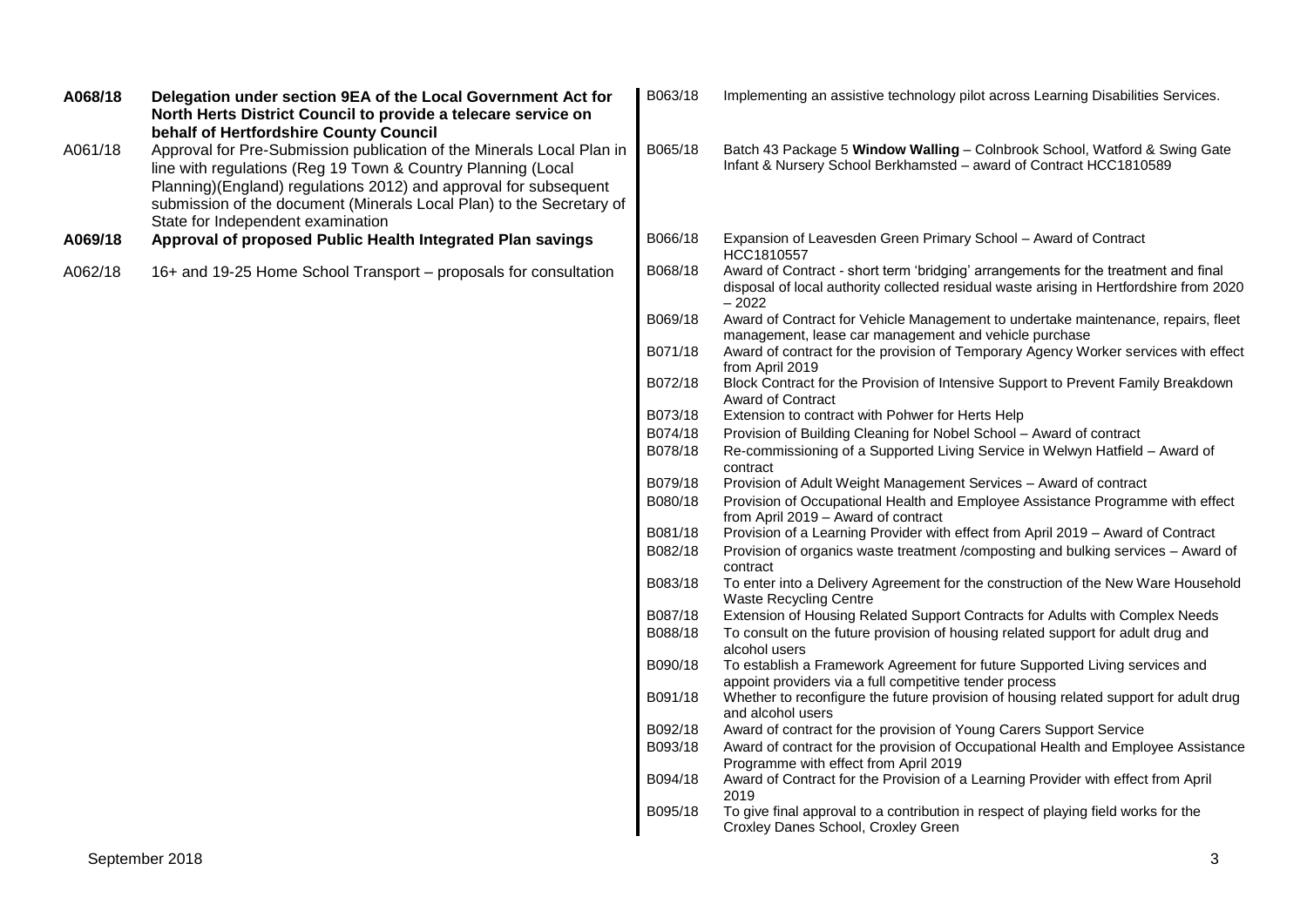| A068/18 | Delegation under section 9EA of the Local Government Act for<br>North Herts District Council to provide a telecare service on<br>behalf of Hertfordshire County Council                                                                                                                                                | B063/18 | Implementing an assistive technology pilot across Learning Disabilities Services.                                                                                                        |
|---------|------------------------------------------------------------------------------------------------------------------------------------------------------------------------------------------------------------------------------------------------------------------------------------------------------------------------|---------|------------------------------------------------------------------------------------------------------------------------------------------------------------------------------------------|
| A061/18 | Approval for Pre-Submission publication of the Minerals Local Plan in<br>line with regulations (Reg 19 Town & Country Planning (Local<br>Planning)(England) regulations 2012) and approval for subsequent<br>submission of the document (Minerals Local Plan) to the Secretary of<br>State for Independent examination | B065/18 | Batch 43 Package 5 Window Walling - Colnbrook School, Watford & Swing Gate<br>Infant & Nursery School Berkhamsted - award of Contract HCC1810589                                         |
| A069/18 | Approval of proposed Public Health Integrated Plan savings                                                                                                                                                                                                                                                             | B066/18 | Expansion of Leavesden Green Primary School - Award of Contract<br>HCC1810557                                                                                                            |
| A062/18 | 16+ and 19-25 Home School Transport – proposals for consultation                                                                                                                                                                                                                                                       | B068/18 | Award of Contract - short term 'bridging' arrangements for the treatment and final<br>disposal of local authority collected residual waste arising in Hertfordshire from 2020<br>$-2022$ |
|         |                                                                                                                                                                                                                                                                                                                        | B069/18 | Award of Contract for Vehicle Management to undertake maintenance, repairs, fleet<br>management, lease car management and vehicle purchase                                               |
|         |                                                                                                                                                                                                                                                                                                                        | B071/18 | Award of contract for the provision of Temporary Agency Worker services with effect<br>from April 2019                                                                                   |
|         |                                                                                                                                                                                                                                                                                                                        | B072/18 | Block Contract for the Provision of Intensive Support to Prevent Family Breakdown<br><b>Award of Contract</b>                                                                            |
|         |                                                                                                                                                                                                                                                                                                                        | B073/18 | Extension to contract with Pohwer for Herts Help                                                                                                                                         |
|         |                                                                                                                                                                                                                                                                                                                        | B074/18 | Provision of Building Cleaning for Nobel School - Award of contract                                                                                                                      |
|         |                                                                                                                                                                                                                                                                                                                        | B078/18 | Re-commissioning of a Supported Living Service in Welwyn Hatfield - Award of<br>contract                                                                                                 |
|         |                                                                                                                                                                                                                                                                                                                        | B079/18 | Provision of Adult Weight Management Services - Award of contract                                                                                                                        |
|         |                                                                                                                                                                                                                                                                                                                        | B080/18 | Provision of Occupational Health and Employee Assistance Programme with effect<br>from April 2019 - Award of contract                                                                    |
|         |                                                                                                                                                                                                                                                                                                                        | B081/18 | Provision of a Learning Provider with effect from April 2019 - Award of Contract                                                                                                         |
|         |                                                                                                                                                                                                                                                                                                                        | B082/18 | Provision of organics waste treatment /composting and bulking services - Award of<br>contract                                                                                            |
|         |                                                                                                                                                                                                                                                                                                                        | B083/18 | To enter into a Delivery Agreement for the construction of the New Ware Household<br><b>Waste Recycling Centre</b>                                                                       |
|         |                                                                                                                                                                                                                                                                                                                        | B087/18 | Extension of Housing Related Support Contracts for Adults with Complex Needs                                                                                                             |
|         |                                                                                                                                                                                                                                                                                                                        | B088/18 | To consult on the future provision of housing related support for adult drug and<br>alcohol users                                                                                        |
|         |                                                                                                                                                                                                                                                                                                                        | B090/18 | To establish a Framework Agreement for future Supported Living services and<br>appoint providers via a full competitive tender process                                                   |
|         |                                                                                                                                                                                                                                                                                                                        | B091/18 | Whether to reconfigure the future provision of housing related support for adult drug<br>and alcohol users                                                                               |
|         |                                                                                                                                                                                                                                                                                                                        | B092/18 | Award of contract for the provision of Young Carers Support Service                                                                                                                      |
|         |                                                                                                                                                                                                                                                                                                                        | B093/18 | Award of contract for the provision of Occupational Health and Employee Assistance<br>Programme with effect from April 2019                                                              |
|         |                                                                                                                                                                                                                                                                                                                        | B094/18 | Award of Contract for the Provision of a Learning Provider with effect from April<br>2019                                                                                                |
|         |                                                                                                                                                                                                                                                                                                                        | B095/18 | To give final approval to a contribution in respect of playing field works for the<br>Croxley Danes School, Croxley Green                                                                |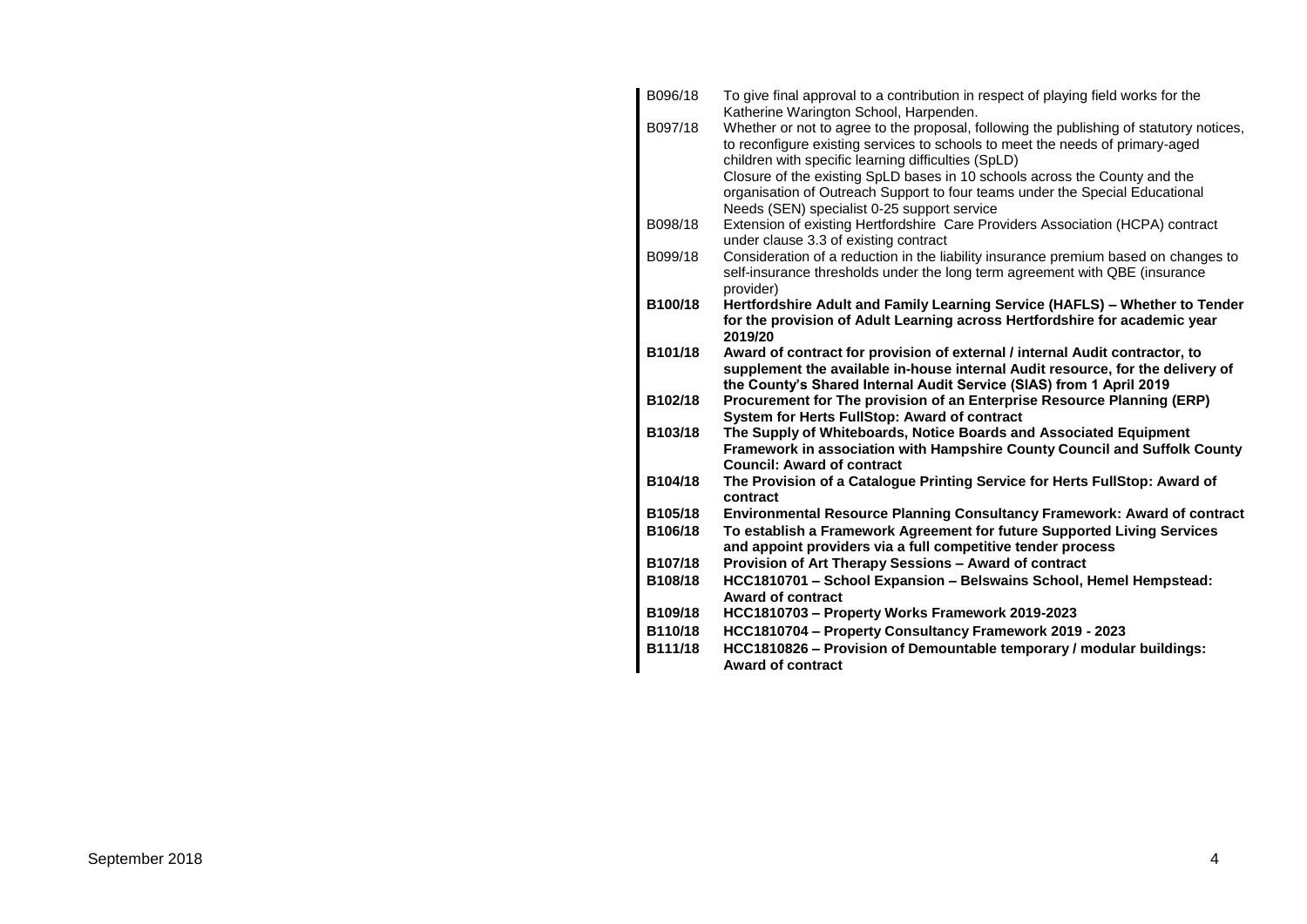| B096/18 | To give final approval to a contribution in respect of playing field works for the                                                                            |
|---------|---------------------------------------------------------------------------------------------------------------------------------------------------------------|
| B097/18 | Katherine Warington School, Harpenden.<br>Whether or not to agree to the proposal, following the publishing of statutory notices,                             |
|         | to reconfigure existing services to schools to meet the needs of primary-aged                                                                                 |
|         | children with specific learning difficulties (SpLD)                                                                                                           |
|         | Closure of the existing SpLD bases in 10 schools across the County and the                                                                                    |
|         | organisation of Outreach Support to four teams under the Special Educational                                                                                  |
|         | Needs (SEN) specialist 0-25 support service                                                                                                                   |
| B098/18 | Extension of existing Hertfordshire Care Providers Association (HCPA) contract                                                                                |
|         | under clause 3.3 of existing contract                                                                                                                         |
| B099/18 | Consideration of a reduction in the liability insurance premium based on changes to                                                                           |
|         | self-insurance thresholds under the long term agreement with QBE (insurance                                                                                   |
|         | provider)                                                                                                                                                     |
| B100/18 | Hertfordshire Adult and Family Learning Service (HAFLS) - Whether to Tender                                                                                   |
|         | for the provision of Adult Learning across Hertfordshire for academic year                                                                                    |
|         | 2019/20                                                                                                                                                       |
| B101/18 | Award of contract for provision of external / internal Audit contractor, to<br>supplement the available in-house internal Audit resource, for the delivery of |
|         | the County's Shared Internal Audit Service (SIAS) from 1 April 2019                                                                                           |
|         |                                                                                                                                                               |
|         |                                                                                                                                                               |
| B102/18 | Procurement for The provision of an Enterprise Resource Planning (ERP)                                                                                        |
| B103/18 | System for Herts FullStop: Award of contract                                                                                                                  |
|         | The Supply of Whiteboards, Notice Boards and Associated Equipment                                                                                             |
|         | Framework in association with Hampshire County Council and Suffolk County<br><b>Council: Award of contract</b>                                                |
| B104/18 | The Provision of a Catalogue Printing Service for Herts FullStop: Award of                                                                                    |
|         | contract                                                                                                                                                      |
| B105/18 | Environmental Resource Planning Consultancy Framework: Award of contract                                                                                      |
| B106/18 | To establish a Framework Agreement for future Supported Living Services                                                                                       |
|         | and appoint providers via a full competitive tender process                                                                                                   |
| B107/18 | Provision of Art Therapy Sessions - Award of contract                                                                                                         |
| B108/18 | HCC1810701 - School Expansion - Belswains School, Hemel Hempstead:                                                                                            |
|         | <b>Award of contract</b>                                                                                                                                      |
| B109/18 | HCC1810703 - Property Works Framework 2019-2023                                                                                                               |
| B110/18 | HCC1810704 - Property Consultancy Framework 2019 - 2023                                                                                                       |
| B111/18 | HCC1810826 - Provision of Demountable temporary / modular buildings:<br><b>Award of contract</b>                                                              |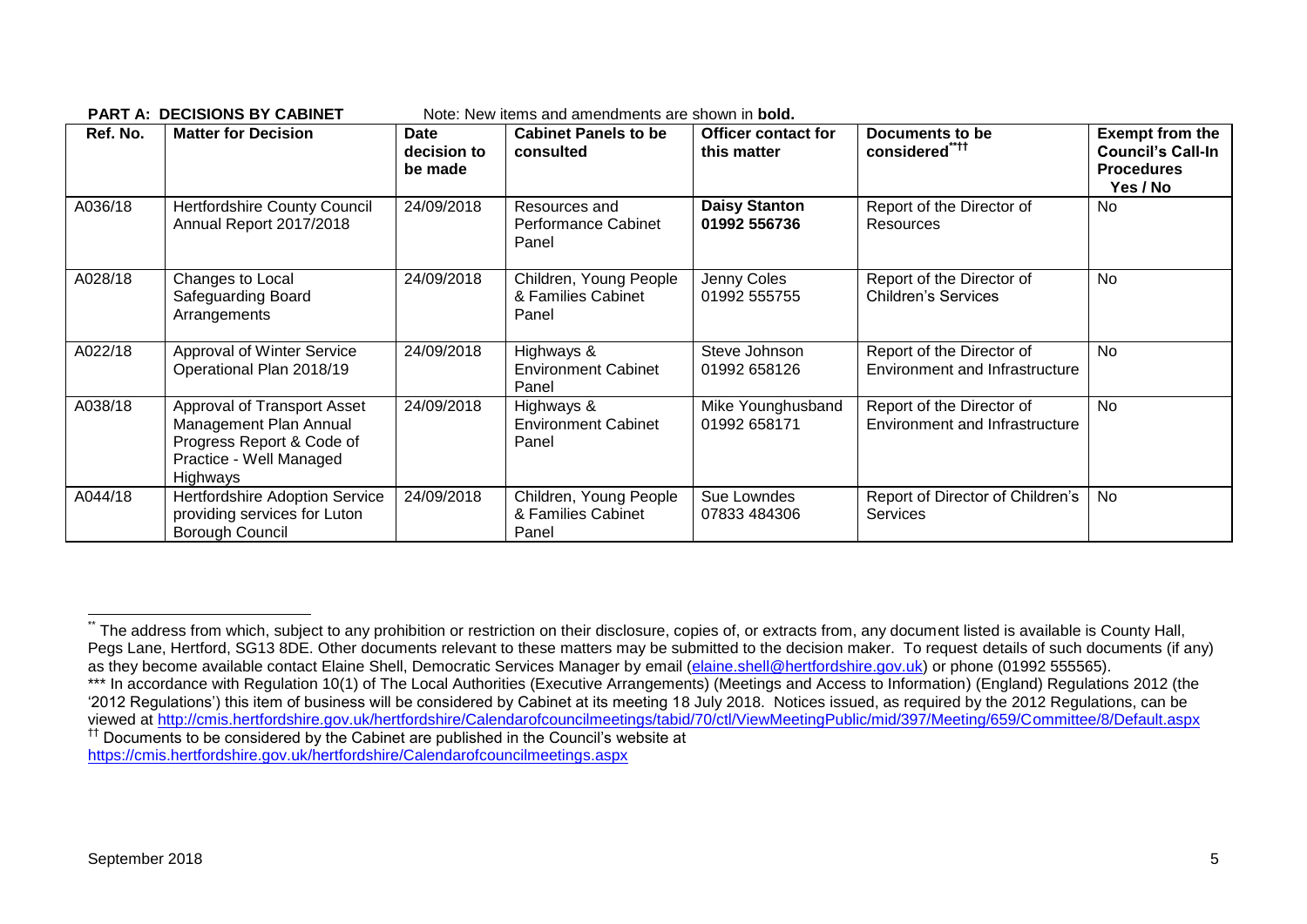| Ref. No. | <b>Matter for Decision</b>                                                                                                | Date<br>decision to<br>be made | <b>Cabinet Panels to be</b><br>consulted              | <b>Officer contact for</b><br>this matter | Documents to be<br>considered****                           | <b>Exempt from the</b><br><b>Council's Call-In</b><br><b>Procedures</b><br>Yes / No |
|----------|---------------------------------------------------------------------------------------------------------------------------|--------------------------------|-------------------------------------------------------|-------------------------------------------|-------------------------------------------------------------|-------------------------------------------------------------------------------------|
| A036/18  | <b>Hertfordshire County Council</b><br>Annual Report 2017/2018                                                            | 24/09/2018                     | Resources and<br><b>Performance Cabinet</b><br>Panel  | <b>Daisy Stanton</b><br>01992 556736      | Report of the Director of<br>Resources                      | No                                                                                  |
| A028/18  | Changes to Local<br>Safeguarding Board<br>Arrangements                                                                    | 24/09/2018                     | Children, Young People<br>& Families Cabinet<br>Panel | Jenny Coles<br>01992 555755               | Report of the Director of<br><b>Children's Services</b>     | No                                                                                  |
| A022/18  | Approval of Winter Service<br>Operational Plan 2018/19                                                                    | 24/09/2018                     | Highways &<br><b>Environment Cabinet</b><br>Panel     | Steve Johnson<br>01992 658126             | Report of the Director of<br>Environment and Infrastructure | <b>No</b>                                                                           |
| A038/18  | Approval of Transport Asset<br>Management Plan Annual<br>Progress Report & Code of<br>Practice - Well Managed<br>Highways | 24/09/2018                     | Highways &<br><b>Environment Cabinet</b><br>Panel     | Mike Younghusband<br>01992 658171         | Report of the Director of<br>Environment and Infrastructure | No                                                                                  |
| A044/18  | Hertfordshire Adoption Service<br>providing services for Luton<br>Borough Council                                         | 24/09/2018                     | Children, Young People<br>& Families Cabinet<br>Panel | Sue Lowndes<br>07833 484306               | Report of Director of Children's<br><b>Services</b>         | No                                                                                  |

**PART A: DECISIONS BY CABINET** Note: New items and amendments are shown in **bold.**

 $\overline{a}$ 

The address from which, subject to any prohibition or restriction on their disclosure, copies of, or extracts from, any document listed is available is County Hall, Pegs Lane, Hertford, SG13 8DE. Other documents relevant to these matters may be submitted to the decision maker. To request details of such documents (if any) as they become available contact Elaine Shell, Democratic Services Manager by email [\(elaine.shell@hertfordshire.gov.uk\)](mailto:elaine.shell@hertfordshire.gov.uk) or phone (01992 555565).

<sup>\*\*\*</sup> In accordance with Regulation 10(1) of The Local Authorities (Executive Arrangements) (Meetings and Access to Information) (England) Regulations 2012 (the '2012 Regulations') this item of business will be considered by Cabinet at its meeting 18 July 2018. Notices issued, as required by the 2012 Regulations, can be viewed at<http://cmis.hertfordshire.gov.uk/hertfordshire/Calendarofcouncilmeetings/tabid/70/ctl/ViewMeetingPublic/mid/397/Meeting/659/Committee/8/Default.aspx> †† Documents to be considered by the Cabinet are published in the Council's website at

<https://cmis.hertfordshire.gov.uk/hertfordshire/Calendarofcouncilmeetings.aspx>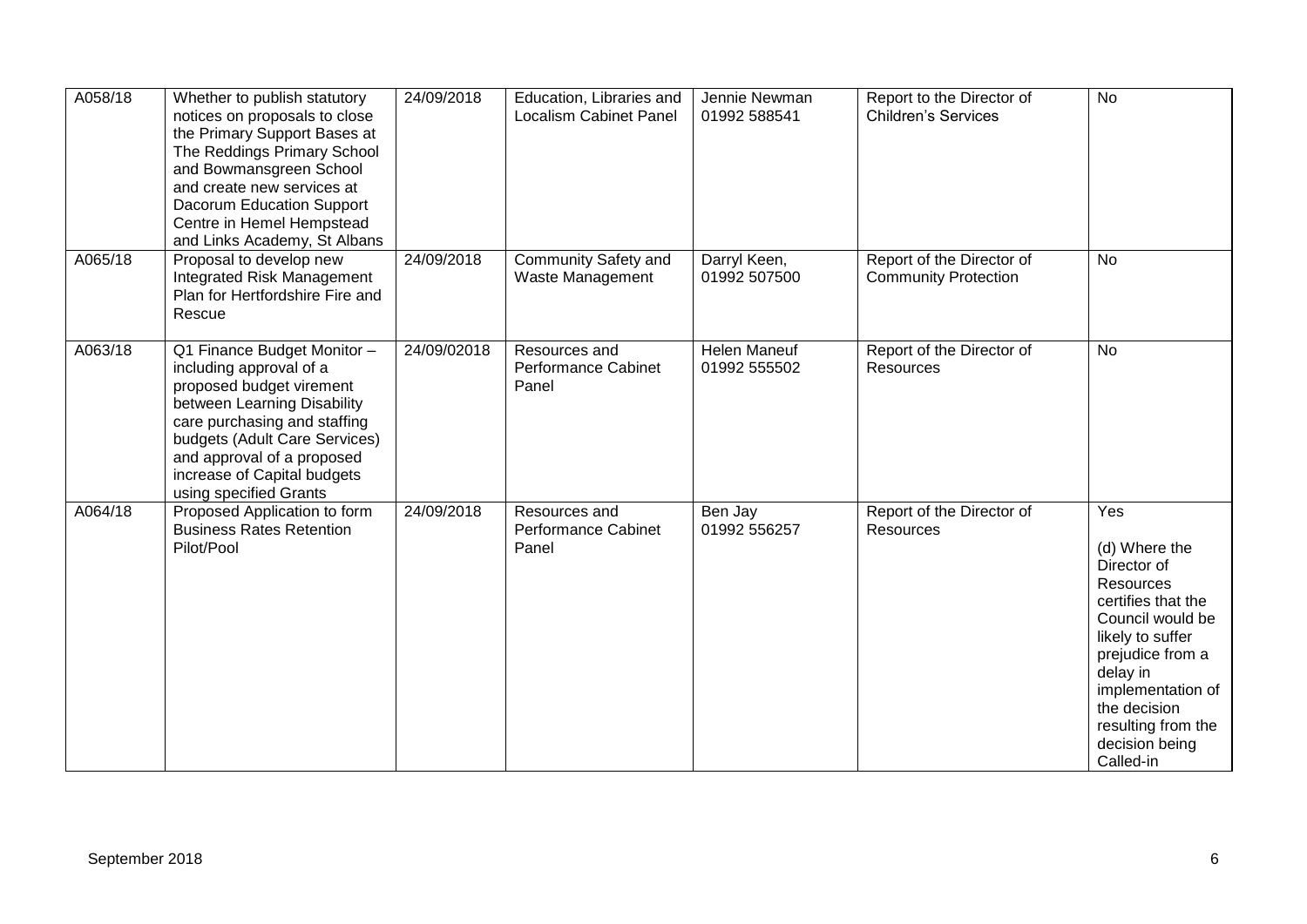| A058/18 | Whether to publish statutory<br>notices on proposals to close<br>the Primary Support Bases at<br>The Reddings Primary School<br>and Bowmansgreen School<br>and create new services at<br>Dacorum Education Support<br>Centre in Hemel Hempstead<br>and Links Academy, St Albans | 24/09/2018  | Education, Libraries and<br><b>Localism Cabinet Panel</b> | Jennie Newman<br>01992 588541       | Report to the Director of<br><b>Children's Services</b>  | <b>No</b>                                                                                                                                                                                                                                |
|---------|---------------------------------------------------------------------------------------------------------------------------------------------------------------------------------------------------------------------------------------------------------------------------------|-------------|-----------------------------------------------------------|-------------------------------------|----------------------------------------------------------|------------------------------------------------------------------------------------------------------------------------------------------------------------------------------------------------------------------------------------------|
| A065/18 | Proposal to develop new<br>Integrated Risk Management<br>Plan for Hertfordshire Fire and<br>Rescue                                                                                                                                                                              | 24/09/2018  | <b>Community Safety and</b><br>Waste Management           | Darryl Keen,<br>01992 507500        | Report of the Director of<br><b>Community Protection</b> | <b>No</b>                                                                                                                                                                                                                                |
| A063/18 | Q1 Finance Budget Monitor -<br>including approval of a<br>proposed budget virement<br>between Learning Disability<br>care purchasing and staffing<br>budgets (Adult Care Services)<br>and approval of a proposed<br>increase of Capital budgets<br>using specified Grants       | 24/09/02018 | Resources and<br><b>Performance Cabinet</b><br>Panel      | <b>Helen Maneuf</b><br>01992 555502 | Report of the Director of<br><b>Resources</b>            | <b>No</b>                                                                                                                                                                                                                                |
| A064/18 | Proposed Application to form<br><b>Business Rates Retention</b><br>Pilot/Pool                                                                                                                                                                                                   | 24/09/2018  | Resources and<br><b>Performance Cabinet</b><br>Panel      | Ben Jay<br>01992 556257             | Report of the Director of<br>Resources                   | Yes<br>(d) Where the<br>Director of<br>Resources<br>certifies that the<br>Council would be<br>likely to suffer<br>prejudice from a<br>delay in<br>implementation of<br>the decision<br>resulting from the<br>decision being<br>Called-in |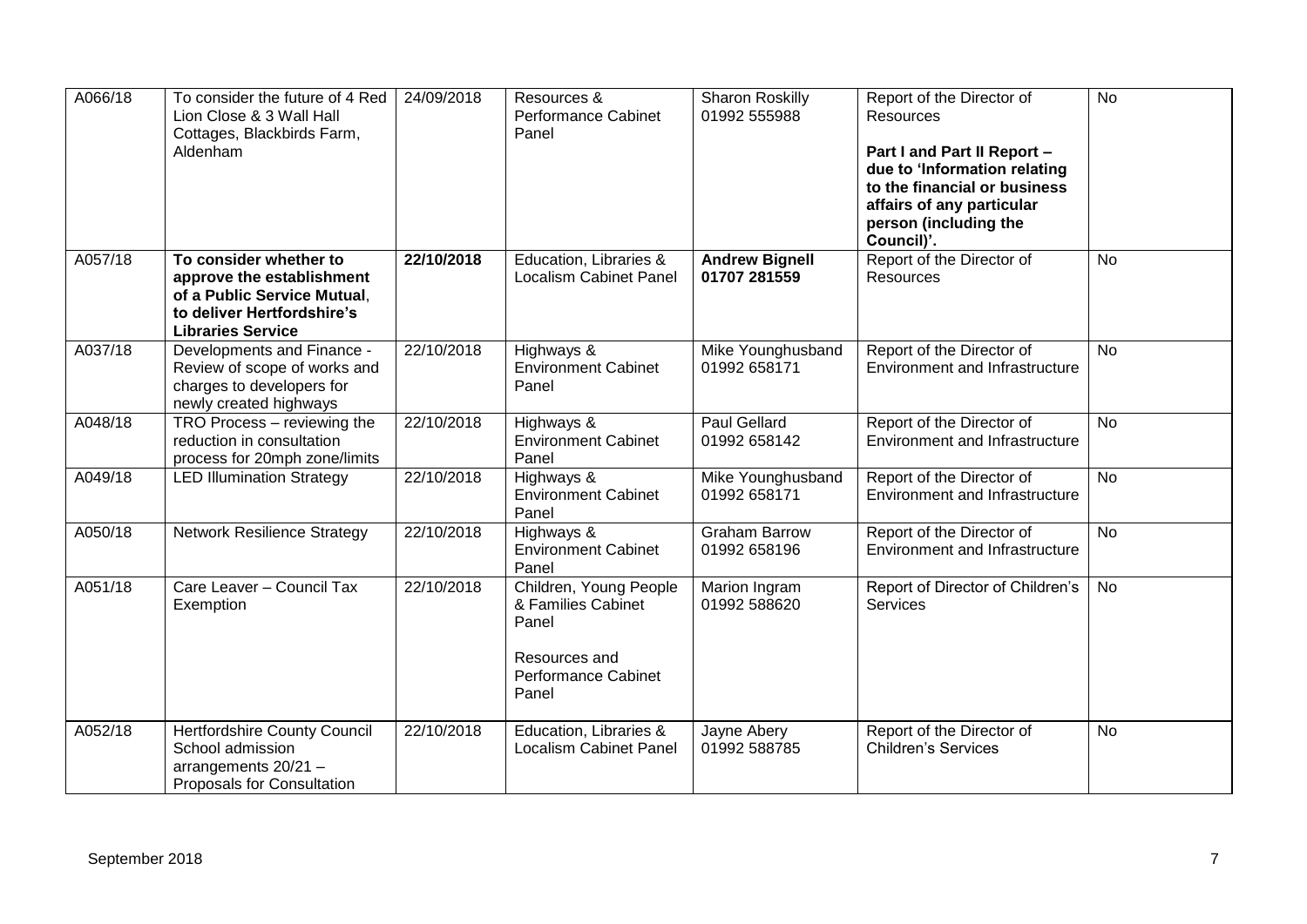| A066/18 | To consider the future of 4 Red<br>Lion Close & 3 Wall Hall<br>Cottages, Blackbirds Farm,<br>Aldenham                                        | 24/09/2018 | Resources &<br>Performance Cabinet<br>Panel                                                            | <b>Sharon Roskilly</b><br>01992 555988 | Report of the Director of<br>Resources<br>Part I and Part II Report -<br>due to 'Information relating<br>to the financial or business<br>affairs of any particular<br>person (including the<br>Council)'. | <b>No</b>      |
|---------|----------------------------------------------------------------------------------------------------------------------------------------------|------------|--------------------------------------------------------------------------------------------------------|----------------------------------------|-----------------------------------------------------------------------------------------------------------------------------------------------------------------------------------------------------------|----------------|
| A057/18 | To consider whether to<br>approve the establishment<br>of a Public Service Mutual,<br>to deliver Hertfordshire's<br><b>Libraries Service</b> | 22/10/2018 | Education, Libraries &<br><b>Localism Cabinet Panel</b>                                                | <b>Andrew Bignell</b><br>01707 281559  | Report of the Director of<br>Resources                                                                                                                                                                    | <b>No</b>      |
| A037/18 | Developments and Finance -<br>Review of scope of works and<br>charges to developers for<br>newly created highways                            | 22/10/2018 | Highways &<br><b>Environment Cabinet</b><br>Panel                                                      | Mike Younghusband<br>01992 658171      | Report of the Director of<br><b>Environment and Infrastructure</b>                                                                                                                                        | <b>No</b>      |
| A048/18 | TRO Process - reviewing the<br>reduction in consultation<br>process for 20mph zone/limits                                                    | 22/10/2018 | Highways &<br><b>Environment Cabinet</b><br>Panel                                                      | Paul Gellard<br>01992 658142           | Report of the Director of<br><b>Environment and Infrastructure</b>                                                                                                                                        | <b>No</b>      |
| A049/18 | <b>LED Illumination Strategy</b>                                                                                                             | 22/10/2018 | Highways &<br><b>Environment Cabinet</b><br>Panel                                                      | Mike Younghusband<br>01992 658171      | Report of the Director of<br><b>Environment and Infrastructure</b>                                                                                                                                        | $\overline{N}$ |
| A050/18 | <b>Network Resilience Strategy</b>                                                                                                           | 22/10/2018 | Highways &<br><b>Environment Cabinet</b><br>Panel                                                      | <b>Graham Barrow</b><br>01992 658196   | Report of the Director of<br><b>Environment and Infrastructure</b>                                                                                                                                        | <b>No</b>      |
| A051/18 | Care Leaver - Council Tax<br>Exemption                                                                                                       | 22/10/2018 | Children, Young People<br>& Families Cabinet<br>Panel<br>Resources and<br>Performance Cabinet<br>Panel | Marion Ingram<br>01992 588620          | Report of Director of Children's<br><b>Services</b>                                                                                                                                                       | <b>No</b>      |
| A052/18 | Hertfordshire County Council<br>School admission<br>arrangements 20/21 -<br>Proposals for Consultation                                       | 22/10/2018 | Education, Libraries &<br><b>Localism Cabinet Panel</b>                                                | Jayne Abery<br>01992 588785            | Report of the Director of<br><b>Children's Services</b>                                                                                                                                                   | <b>No</b>      |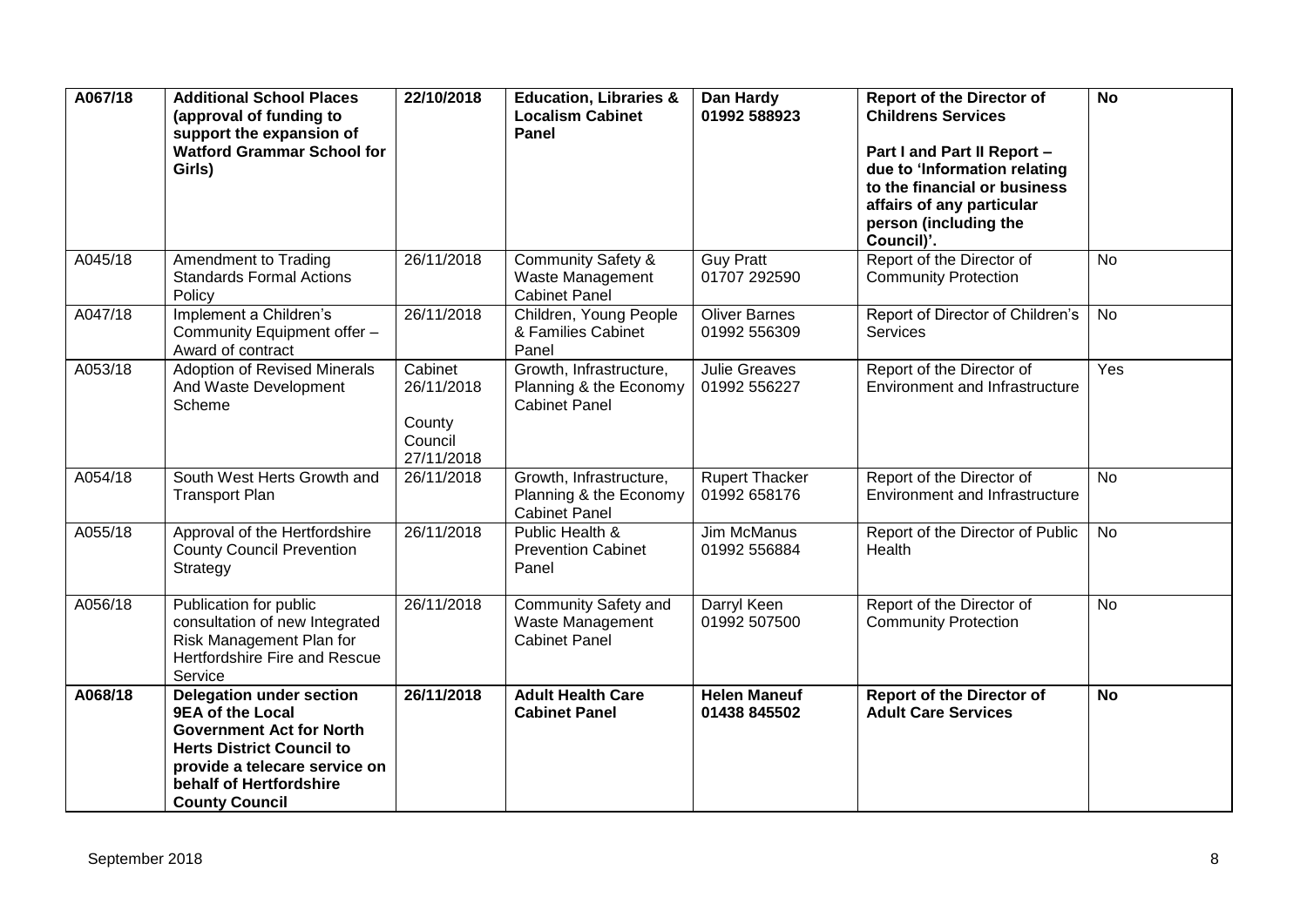| A067/18 | <b>Additional School Places</b><br>(approval of funding to<br>support the expansion of<br><b>Watford Grammar School for</b><br>Girls)                                                                                  | 22/10/2018                                               | <b>Education, Libraries &amp;</b><br><b>Localism Cabinet</b><br><b>Panel</b> | Dan Hardy<br>01992 588923             | <b>Report of the Director of</b><br><b>Childrens Services</b><br>Part I and Part II Report -<br>due to 'Information relating<br>to the financial or business<br>affairs of any particular<br>person (including the<br>Council)'. | <b>No</b> |
|---------|------------------------------------------------------------------------------------------------------------------------------------------------------------------------------------------------------------------------|----------------------------------------------------------|------------------------------------------------------------------------------|---------------------------------------|----------------------------------------------------------------------------------------------------------------------------------------------------------------------------------------------------------------------------------|-----------|
| A045/18 | Amendment to Trading<br><b>Standards Formal Actions</b><br>Policy                                                                                                                                                      | 26/11/2018                                               | <b>Community Safety &amp;</b><br>Waste Management<br><b>Cabinet Panel</b>    | <b>Guy Pratt</b><br>01707 292590      | Report of the Director of<br><b>Community Protection</b>                                                                                                                                                                         | <b>No</b> |
| A047/18 | Implement a Children's<br>Community Equipment offer -<br>Award of contract                                                                                                                                             | 26/11/2018                                               | Children, Young People<br>& Families Cabinet<br>Panel                        | <b>Oliver Barnes</b><br>01992 556309  | Report of Director of Children's<br><b>Services</b>                                                                                                                                                                              | <b>No</b> |
| A053/18 | <b>Adoption of Revised Minerals</b><br>And Waste Development<br>Scheme                                                                                                                                                 | Cabinet<br>26/11/2018<br>County<br>Council<br>27/11/2018 | Growth, Infrastructure,<br>Planning & the Economy<br><b>Cabinet Panel</b>    | <b>Julie Greaves</b><br>01992 556227  | Report of the Director of<br><b>Environment and Infrastructure</b>                                                                                                                                                               | Yes       |
| A054/18 | South West Herts Growth and<br><b>Transport Plan</b>                                                                                                                                                                   | 26/11/2018                                               | Growth, Infrastructure,<br>Planning & the Economy<br><b>Cabinet Panel</b>    | <b>Rupert Thacker</b><br>01992 658176 | Report of the Director of<br><b>Environment and Infrastructure</b>                                                                                                                                                               | <b>No</b> |
| A055/18 | Approval of the Hertfordshire<br><b>County Council Prevention</b><br>Strategy                                                                                                                                          | 26/11/2018                                               | Public Health &<br><b>Prevention Cabinet</b><br>Panel                        | <b>Jim McManus</b><br>01992 556884    | Report of the Director of Public<br>Health                                                                                                                                                                                       | No        |
| A056/18 | Publication for public<br>consultation of new Integrated<br>Risk Management Plan for<br>Hertfordshire Fire and Rescue<br>Service                                                                                       | 26/11/2018                                               | Community Safety and<br>Waste Management<br><b>Cabinet Panel</b>             | Darryl Keen<br>01992 507500           | Report of the Director of<br><b>Community Protection</b>                                                                                                                                                                         | <b>No</b> |
| A068/18 | <b>Delegation under section</b><br><b>9EA of the Local</b><br><b>Government Act for North</b><br><b>Herts District Council to</b><br>provide a telecare service on<br>behalf of Hertfordshire<br><b>County Council</b> | 26/11/2018                                               | <b>Adult Health Care</b><br><b>Cabinet Panel</b>                             | <b>Helen Maneuf</b><br>01438 845502   | <b>Report of the Director of</b><br><b>Adult Care Services</b>                                                                                                                                                                   | <b>No</b> |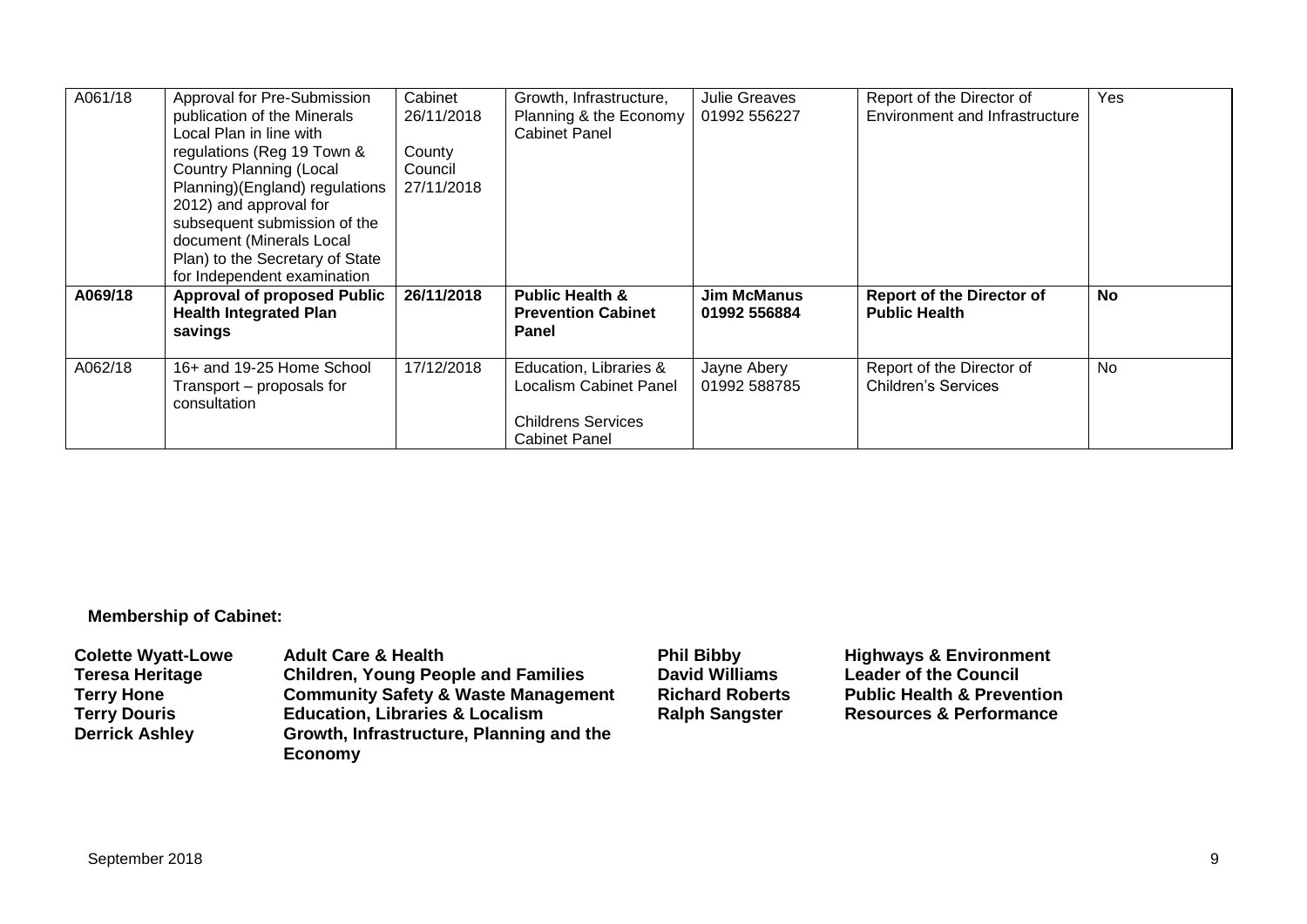| A061/18 | Approval for Pre-Submission<br>publication of the Minerals<br>Local Plan in line with<br>regulations (Reg 19 Town &<br><b>Country Planning (Local</b><br>Planning)(England) regulations<br>2012) and approval for<br>subsequent submission of the<br>document (Minerals Local<br>Plan) to the Secretary of State<br>for Independent examination | Cabinet<br>26/11/2018<br>County<br>Council<br>27/11/2018 | Growth, Infrastructure,<br>Planning & the Economy<br><b>Cabinet Panel</b>                             | <b>Julie Greaves</b><br>01992 556227 | Report of the Director of<br>Environment and Infrastructure | Yes       |
|---------|-------------------------------------------------------------------------------------------------------------------------------------------------------------------------------------------------------------------------------------------------------------------------------------------------------------------------------------------------|----------------------------------------------------------|-------------------------------------------------------------------------------------------------------|--------------------------------------|-------------------------------------------------------------|-----------|
| A069/18 | <b>Approval of proposed Public</b><br><b>Health Integrated Plan</b><br>savings                                                                                                                                                                                                                                                                  | 26/11/2018                                               | <b>Public Health &amp;</b><br><b>Prevention Cabinet</b><br>Panel                                      | <b>Jim McManus</b><br>01992 556884   | <b>Report of the Director of</b><br><b>Public Health</b>    | <b>No</b> |
| A062/18 | 16+ and 19-25 Home School<br>Transport - proposals for<br>consultation                                                                                                                                                                                                                                                                          | 17/12/2018                                               | Education, Libraries &<br>Localism Cabinet Panel<br><b>Childrens Services</b><br><b>Cabinet Panel</b> | Jayne Abery<br>01992 588785          | Report of the Director of<br><b>Children's Services</b>     | No        |

#### **Membership of Cabinet:**

| <b>Colette Wyatt-Lowe</b> | <b>Adult Care &amp; Health</b>                      | <b>Phil Bibby</b>      | <b>Highways &amp; Environment</b>     |
|---------------------------|-----------------------------------------------------|------------------------|---------------------------------------|
| <b>Teresa Heritage</b>    | <b>Children, Young People and Families</b>          | <b>David Williams</b>  | <b>Leader of the Council</b>          |
| <b>Terry Hone</b>         | <b>Community Safety &amp; Waste Management</b>      | <b>Richard Roberts</b> | <b>Public Health &amp; Prevention</b> |
| <b>Terry Douris</b>       | <b>Education, Libraries &amp; Localism</b>          | <b>Ralph Sangster</b>  | <b>Resources &amp; Performance</b>    |
| <b>Derrick Ashley</b>     | Growth, Infrastructure, Planning and the<br>Economy |                        |                                       |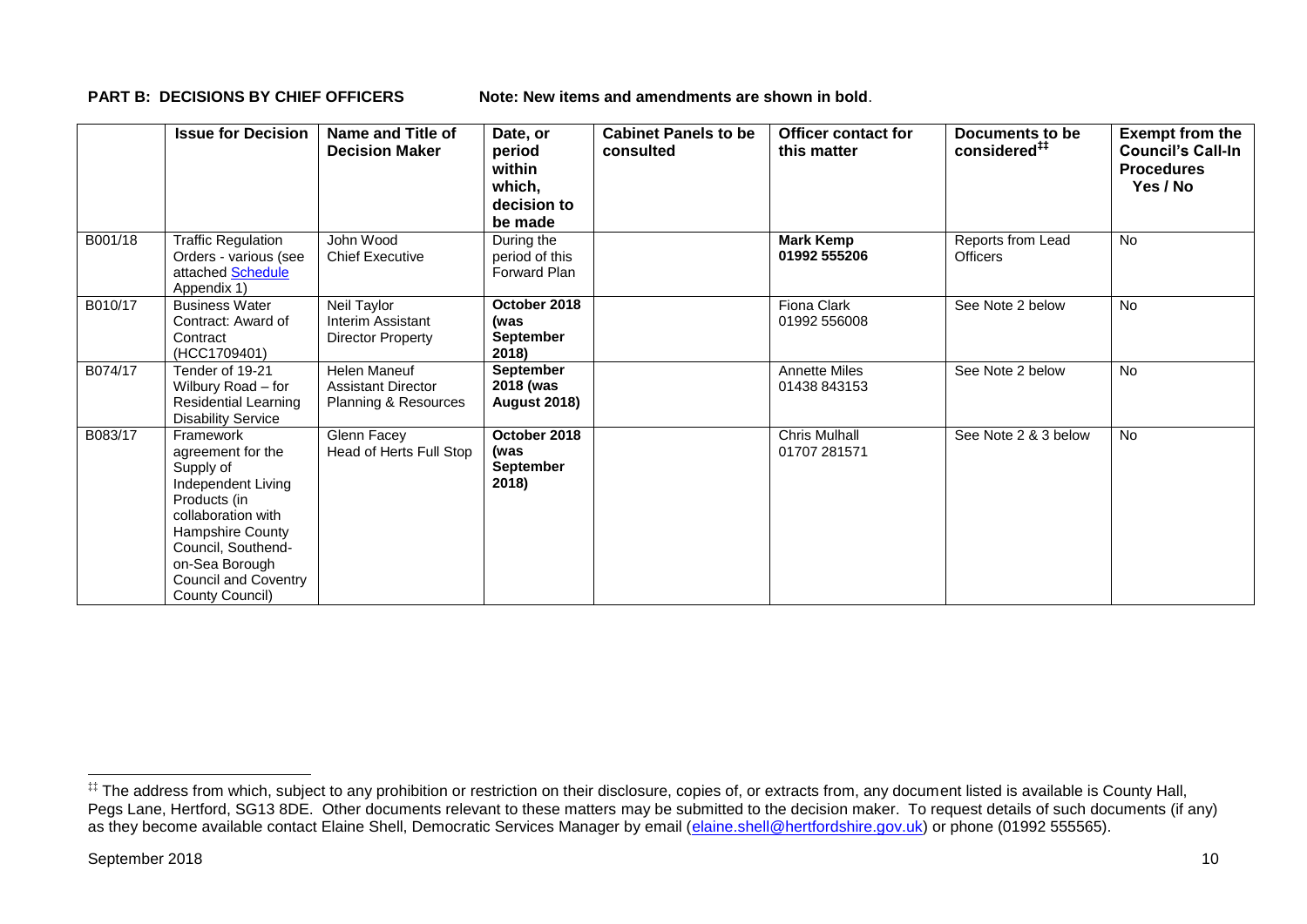**PART B: DECISIONS BY CHIEF OFFICERS Note: New items and amendments are shown in bold.** 

|         | <b>Issue for Decision</b>                                                                                                                                                                                             | Name and Title of<br><b>Decision Maker</b>                        | Date, or<br>period<br>within<br>which,<br>decision to<br>be made | <b>Cabinet Panels to be</b><br>consulted | <b>Officer contact for</b><br>this matter | Documents to be<br>considered <sup>##</sup> | <b>Exempt from the</b><br><b>Council's Call-In</b><br><b>Procedures</b><br>Yes / No |
|---------|-----------------------------------------------------------------------------------------------------------------------------------------------------------------------------------------------------------------------|-------------------------------------------------------------------|------------------------------------------------------------------|------------------------------------------|-------------------------------------------|---------------------------------------------|-------------------------------------------------------------------------------------|
| B001/18 | <b>Traffic Regulation</b><br>Orders - various (see<br>attached Schedule<br>Appendix 1)                                                                                                                                | John Wood<br><b>Chief Executive</b>                               | During the<br>period of this<br><b>Forward Plan</b>              |                                          | <b>Mark Kemp</b><br>01992 555206          | Reports from Lead<br><b>Officers</b>        | No                                                                                  |
| B010/17 | <b>Business Water</b><br>Contract: Award of<br>Contract<br>(HCC1709401)                                                                                                                                               | Neil Taylor<br>Interim Assistant<br>Director Property             | October 2018<br>(was<br><b>September</b><br>2018)                |                                          | Fiona Clark<br>01992 556008               | See Note 2 below                            | No                                                                                  |
| B074/17 | Tender of 19-21<br>Wilbury Road - for<br><b>Residential Learning</b><br><b>Disability Service</b>                                                                                                                     | Helen Maneuf<br><b>Assistant Director</b><br>Planning & Resources | <b>September</b><br>2018 (was<br><b>August 2018)</b>             |                                          | <b>Annette Miles</b><br>01438 843153      | See Note 2 below                            | No                                                                                  |
| B083/17 | Framework<br>agreement for the<br>Supply of<br>Independent Living<br>Products (in<br>collaboration with<br>Hampshire County<br>Council, Southend-<br>on-Sea Borough<br><b>Council and Coventry</b><br>County Council) | Glenn Facey<br>Head of Herts Full Stop                            | October 2018<br>(was<br>September<br>2018)                       |                                          | <b>Chris Mulhall</b><br>01707 281571      | See Note 2 & 3 below                        | No                                                                                  |

1

<sup>‡‡</sup> The address from which, subject to any prohibition or restriction on their disclosure, copies of, or extracts from, any document listed is available is County Hall, Pegs Lane, Hertford, SG13 8DE. Other documents relevant to these matters may be submitted to the decision maker. To request details of such documents (if any) as they become available contact Elaine Shell, Democratic Services Manager by email [\(elaine.shell@hertfordshire.gov.uk\)](mailto:elaine.shell@hertfordshire.gov.uk) or phone (01992 55565).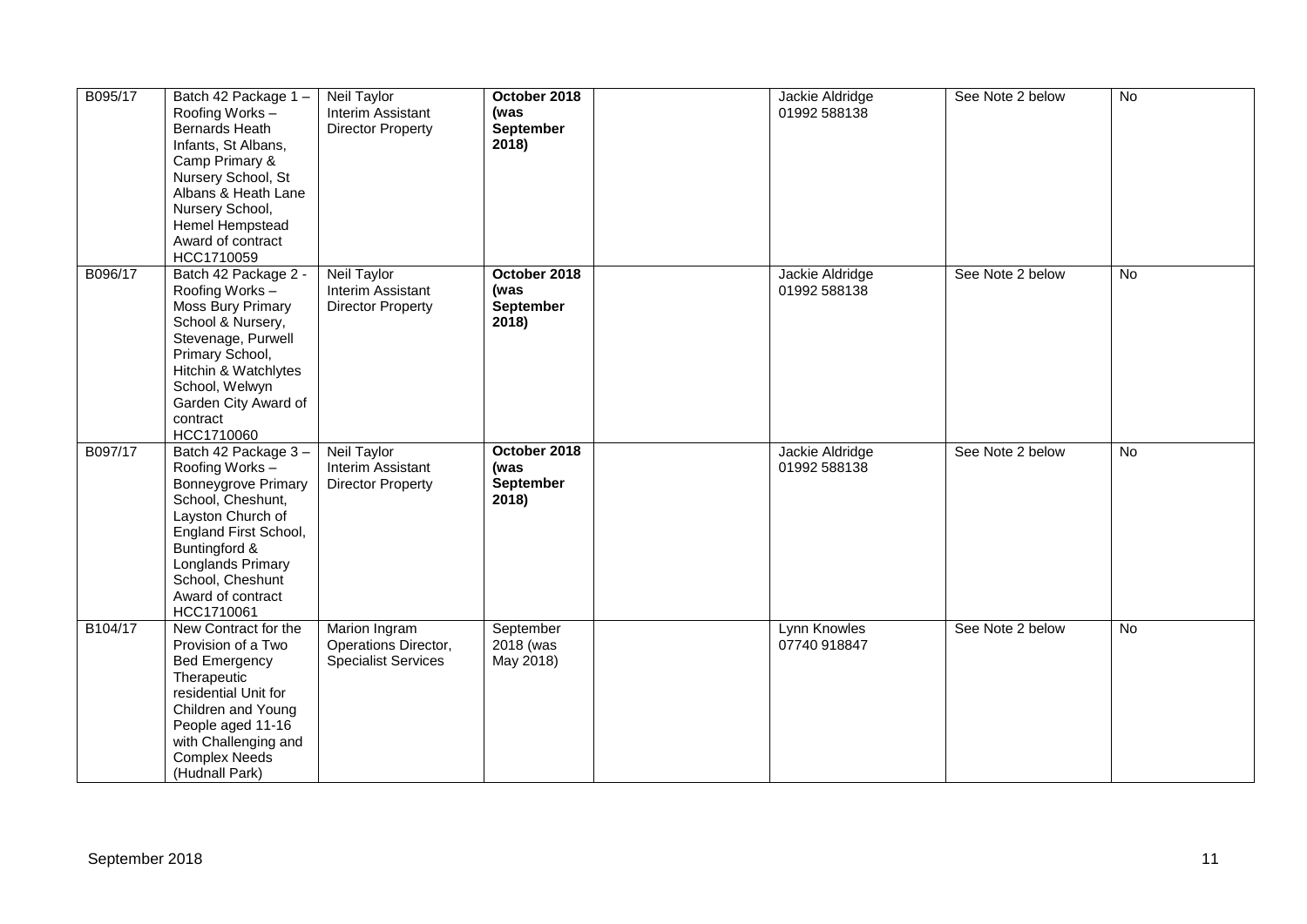| B095/17 | Batch 42 Package 1-<br>Roofing Works-<br>Bernards Heath<br>Infants, St Albans,<br>Camp Primary &<br>Nursery School, St<br>Albans & Heath Lane<br>Nursery School,<br>Hemel Hempstead<br>Award of contract<br>HCC1710059              | Neil Taylor<br>Interim Assistant<br><b>Director Property</b>        | October 2018<br>(was<br>September<br>2018)        | Jackie Aldridge<br>01992 588138 | See Note 2 below | No |
|---------|-------------------------------------------------------------------------------------------------------------------------------------------------------------------------------------------------------------------------------------|---------------------------------------------------------------------|---------------------------------------------------|---------------------------------|------------------|----|
| B096/17 | Batch 42 Package 2 -<br>Roofing Works-<br>Moss Bury Primary<br>School & Nursery,<br>Stevenage, Purwell<br>Primary School,<br>Hitchin & Watchlytes<br>School, Welwyn<br>Garden City Award of<br>contract<br>HCC1710060               | Neil Taylor<br>Interim Assistant<br><b>Director Property</b>        | October 2018<br>(was<br><b>September</b><br>2018) | Jackie Aldridge<br>01992 588138 | See Note 2 below | No |
| B097/17 | Batch 42 Package 3-<br>Roofing Works-<br><b>Bonneygrove Primary</b><br>School, Cheshunt,<br>Layston Church of<br>England First School,<br>Buntingford &<br>Longlands Primary<br>School, Cheshunt<br>Award of contract<br>HCC1710061 | Neil Taylor<br>Interim Assistant<br><b>Director Property</b>        | October 2018<br>(was<br>September<br>2018)        | Jackie Aldridge<br>01992 588138 | See Note 2 below | No |
| B104/17 | New Contract for the<br>Provision of a Two<br><b>Bed Emergency</b><br>Therapeutic<br>residential Unit for<br>Children and Young<br>People aged 11-16<br>with Challenging and<br><b>Complex Needs</b><br>(Hudnall Park)              | Marion Ingram<br>Operations Director,<br><b>Specialist Services</b> | September<br>2018 (was<br>May 2018)               | Lynn Knowles<br>07740 918847    | See Note 2 below | No |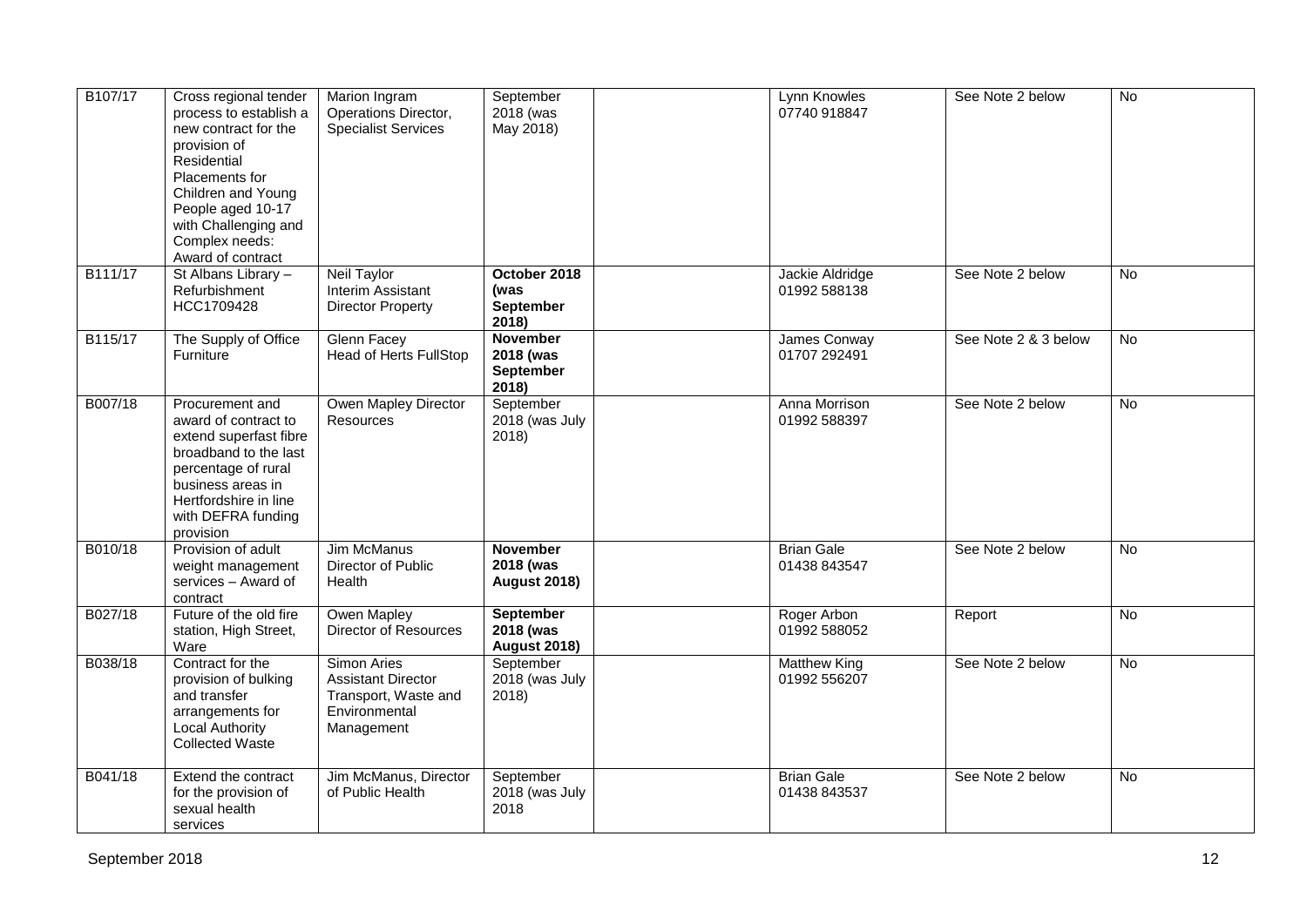| B107/17 | Cross regional tender<br>process to establish a<br>new contract for the<br>provision of<br>Residential<br>Placements for<br>Children and Young<br>People aged 10-17<br>with Challenging and<br>Complex needs:<br>Award of contract | Marion Ingram<br>Operations Director,<br><b>Specialist Services</b>                                    | September<br>2018 (was<br>May 2018)                  | Lynn Knowles<br>07740 918847        | See Note 2 below     | $\overline{N}$ |
|---------|------------------------------------------------------------------------------------------------------------------------------------------------------------------------------------------------------------------------------------|--------------------------------------------------------------------------------------------------------|------------------------------------------------------|-------------------------------------|----------------------|----------------|
| B111/17 | St Albans Library -<br>Refurbishment<br>HCC1709428                                                                                                                                                                                 | <b>Neil Taylor</b><br>Interim Assistant<br><b>Director Property</b>                                    | October 2018<br>(was<br><b>September</b><br>2018)    | Jackie Aldridge<br>01992 588138     | See Note 2 below     | $\overline{N}$ |
| B115/17 | The Supply of Office<br>Furniture                                                                                                                                                                                                  | Glenn Facey<br><b>Head of Herts FullStop</b>                                                           | <b>November</b><br>2018 (was<br>September<br>2018)   | James Conway<br>01707 292491        | See Note 2 & 3 below | $\overline{N}$ |
| B007/18 | Procurement and<br>award of contract to<br>extend superfast fibre<br>broadband to the last<br>percentage of rural<br>business areas in<br>Hertfordshire in line<br>with DEFRA funding<br>provision                                 | Owen Mapley Director<br>Resources                                                                      | September<br>2018 (was July<br>2018)                 | Anna Morrison<br>01992 588397       | See Note 2 below     | $\overline{N}$ |
| B010/18 | Provision of adult<br>weight management<br>services - Award of<br>contract                                                                                                                                                         | <b>Jim McManus</b><br>Director of Public<br>Health                                                     | <b>November</b><br>2018 (was<br><b>August 2018)</b>  | <b>Brian Gale</b><br>01438 843547   | See Note 2 below     | No             |
| B027/18 | Future of the old fire<br>station, High Street,<br>Ware                                                                                                                                                                            | Owen Mapley<br>Director of Resources                                                                   | <b>September</b><br>2018 (was<br><b>August 2018)</b> | Roger Arbon<br>01992 588052         | Report               | No             |
| B038/18 | Contract for the<br>provision of bulking<br>and transfer<br>arrangements for<br><b>Local Authority</b><br><b>Collected Waste</b>                                                                                                   | <b>Simon Aries</b><br><b>Assistant Director</b><br>Transport, Waste and<br>Environmental<br>Management | September<br>2018 (was July<br>2018)                 | <b>Matthew King</b><br>01992 556207 | See Note 2 below     | <b>No</b>      |
| B041/18 | Extend the contract<br>for the provision of<br>sexual health<br>services                                                                                                                                                           | Jim McManus, Director<br>of Public Health                                                              | September<br>2018 (was July<br>2018                  | <b>Brian Gale</b><br>01438 843537   | See Note 2 below     | No             |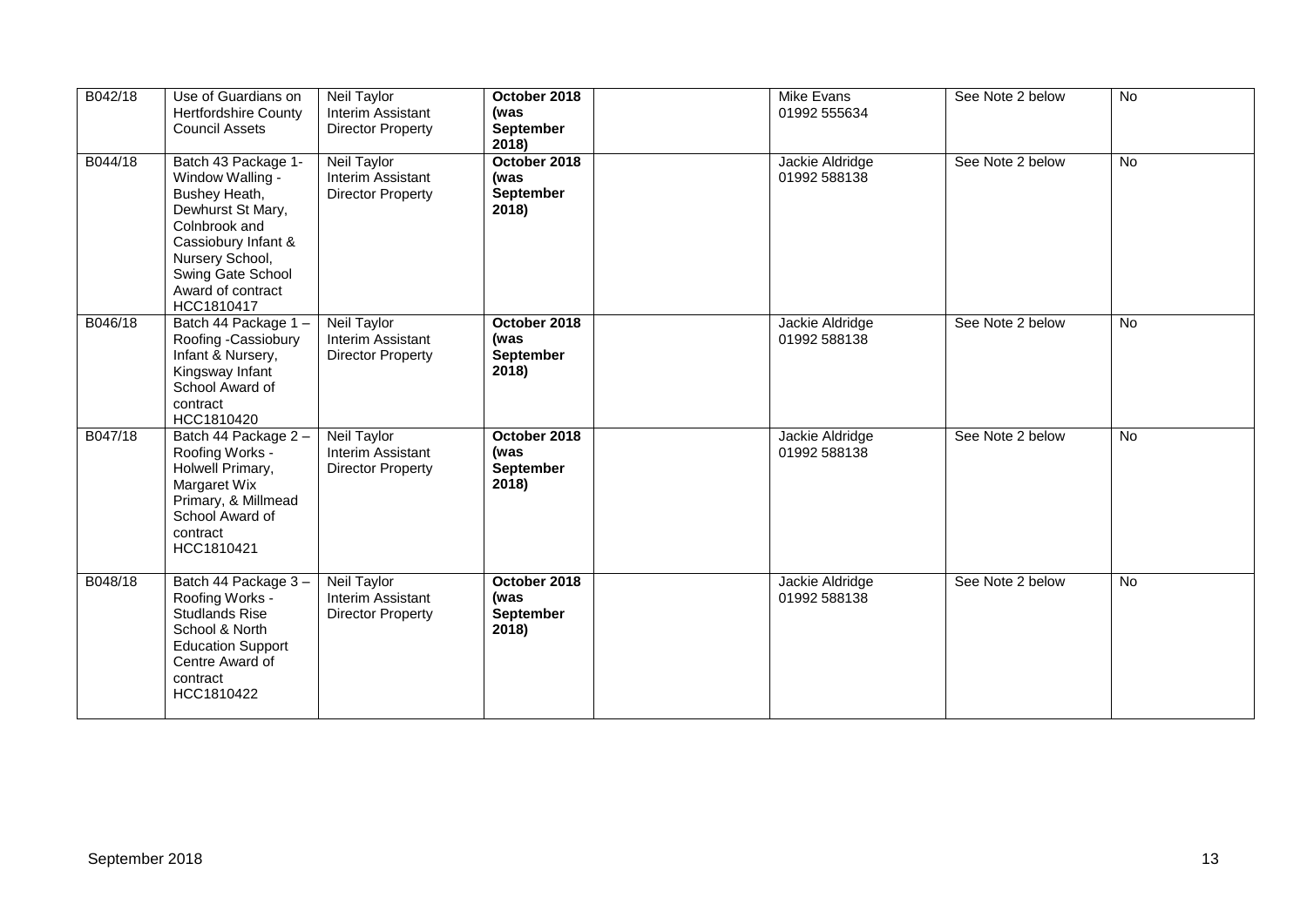| B042/18 | Use of Guardians on<br><b>Hertfordshire County</b><br><b>Council Assets</b>                                                                                                                      | Neil Taylor<br>Interim Assistant<br><b>Director Property</b>               | October 2018<br>(was<br><b>September</b><br>2018) | Mike Evans<br>01992 555634      | See Note 2 below | No        |
|---------|--------------------------------------------------------------------------------------------------------------------------------------------------------------------------------------------------|----------------------------------------------------------------------------|---------------------------------------------------|---------------------------------|------------------|-----------|
| B044/18 | Batch 43 Package 1-<br>Window Walling -<br>Bushey Heath,<br>Dewhurst St Mary,<br>Colnbrook and<br>Cassiobury Infant &<br>Nursery School,<br>Swing Gate School<br>Award of contract<br>HCC1810417 | <b>Neil Taylor</b><br>Interim Assistant<br><b>Director Property</b>        | October 2018<br>(was<br><b>September</b><br>2018) | Jackie Aldridge<br>01992 588138 | See Note 2 below | No        |
| B046/18 | Batch 44 Package 1-<br>Roofing -Cassiobury<br>Infant & Nursery,<br>Kingsway Infant<br>School Award of<br>contract<br>HCC1810420                                                                  | Neil Taylor<br>Interim Assistant<br><b>Director Property</b>               | October 2018<br>(was<br><b>September</b><br>2018) | Jackie Aldridge<br>01992 588138 | See Note 2 below | No        |
| B047/18 | Batch 44 Package 2 -<br>Roofing Works -<br>Holwell Primary,<br>Margaret Wix<br>Primary, & Millmead<br>School Award of<br>contract<br>HCC1810421                                                  | <b>Neil Taylor</b><br><b>Interim Assistant</b><br><b>Director Property</b> | October 2018<br>(was<br>September<br>2018)        | Jackie Aldridge<br>01992 588138 | See Note 2 below | No        |
| B048/18 | Batch 44 Package 3-<br>Roofing Works -<br><b>Studlands Rise</b><br>School & North<br><b>Education Support</b><br>Centre Award of<br>contract<br>HCC1810422                                       | Neil Taylor<br>Interim Assistant<br><b>Director Property</b>               | October 2018<br>(was<br><b>September</b><br>2018) | Jackie Aldridge<br>01992 588138 | See Note 2 below | <b>No</b> |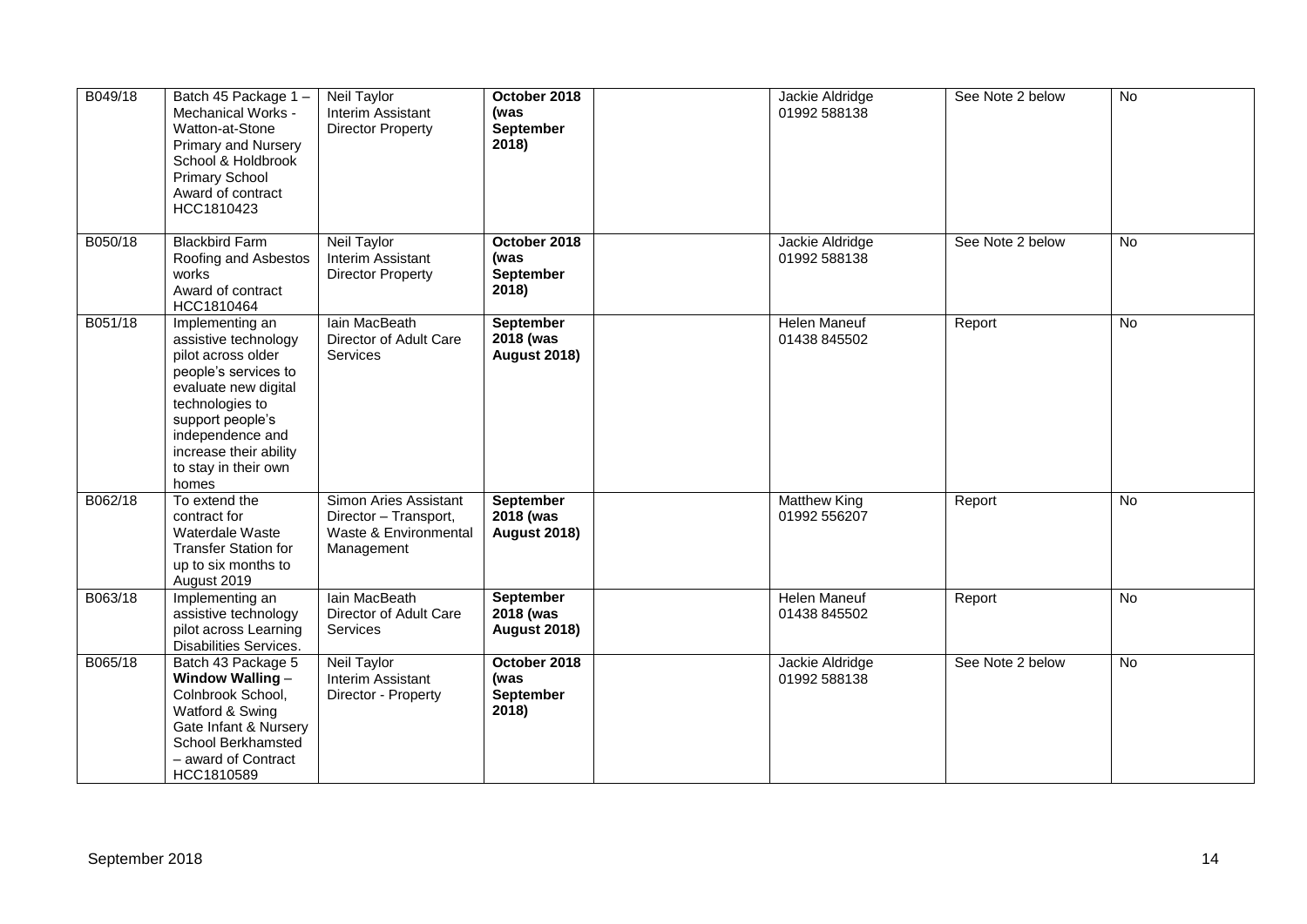| B049/18 | Batch 45 Package 1-<br>Mechanical Works -<br>Watton-at-Stone<br>Primary and Nursery<br>School & Holdbrook<br><b>Primary School</b><br>Award of contract<br>HCC1810423                                                               | Neil Taylor<br>Interim Assistant<br><b>Director Property</b>                          | October 2018<br>(was<br>September<br>2018)           | Jackie Aldridge<br>01992 588138     | See Note 2 below | <b>No</b>      |
|---------|-------------------------------------------------------------------------------------------------------------------------------------------------------------------------------------------------------------------------------------|---------------------------------------------------------------------------------------|------------------------------------------------------|-------------------------------------|------------------|----------------|
| B050/18 | <b>Blackbird Farm</b><br>Roofing and Asbestos<br>works<br>Award of contract<br>HCC1810464                                                                                                                                           | <b>Neil Taylor</b><br>Interim Assistant<br><b>Director Property</b>                   | October 2018<br>(was<br><b>September</b><br>2018)    | Jackie Aldridge<br>01992 588138     | See Note 2 below | <b>No</b>      |
| B051/18 | Implementing an<br>assistive technology<br>pilot across older<br>people's services to<br>evaluate new digital<br>technologies to<br>support people's<br>independence and<br>increase their ability<br>to stay in their own<br>homes | lain MacBeath<br>Director of Adult Care<br>Services                                   | <b>September</b><br>2018 (was<br><b>August 2018)</b> | <b>Helen Maneuf</b><br>01438 845502 | Report           | $\overline{N}$ |
| B062/18 | To extend the<br>contract for<br>Waterdale Waste<br><b>Transfer Station for</b><br>up to six months to<br>August 2019                                                                                                               | Simon Aries Assistant<br>Director - Transport,<br>Waste & Environmental<br>Management | <b>September</b><br>2018 (was<br><b>August 2018)</b> | <b>Matthew King</b><br>01992 556207 | Report           | <b>No</b>      |
| B063/18 | Implementing an<br>assistive technology<br>pilot across Learning<br>Disabilities Services.                                                                                                                                          | lain MacBeath<br>Director of Adult Care<br>Services                                   | September<br>2018 (was<br><b>August 2018)</b>        | <b>Helen Maneuf</b><br>01438 845502 | Report           | No             |
| B065/18 | Batch 43 Package 5<br><b>Window Walling -</b><br>Colnbrook School,<br>Watford & Swing<br>Gate Infant & Nursery<br>School Berkhamsted<br>- award of Contract<br>HCC1810589                                                           | <b>Neil Taylor</b><br>Interim Assistant<br>Director - Property                        | October 2018<br>(was<br><b>September</b><br>2018)    | Jackie Aldridge<br>01992 588138     | See Note 2 below | No             |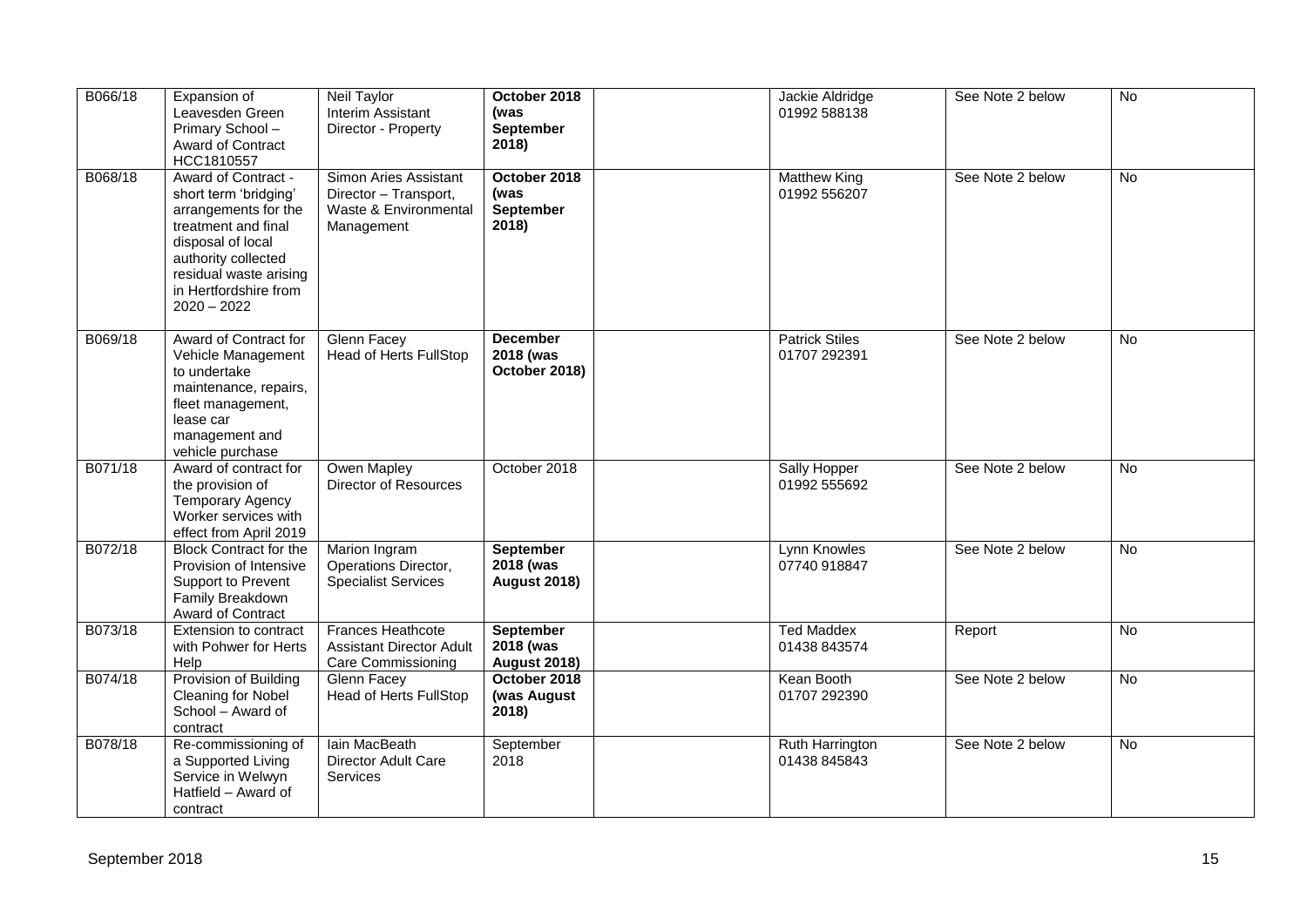| B066/18 | Expansion of<br>Leavesden Green<br>Primary School-<br>Award of Contract<br>HCC1810557                                                                                                                       | Neil Taylor<br>Interim Assistant<br>Director - Property                               | October 2018<br>(was<br><b>September</b><br>2018)    | Jackie Aldridge<br>01992 588138       | See Note 2 below | No             |
|---------|-------------------------------------------------------------------------------------------------------------------------------------------------------------------------------------------------------------|---------------------------------------------------------------------------------------|------------------------------------------------------|---------------------------------------|------------------|----------------|
| B068/18 | Award of Contract -<br>short term 'bridging'<br>arrangements for the<br>treatment and final<br>disposal of local<br>authority collected<br>residual waste arising<br>in Hertfordshire from<br>$2020 - 2022$ | Simon Aries Assistant<br>Director - Transport,<br>Waste & Environmental<br>Management | October 2018<br>(was<br>September<br>2018)           | <b>Matthew King</b><br>01992 556207   | See Note 2 below | No             |
| B069/18 | Award of Contract for<br>Vehicle Management<br>to undertake<br>maintenance, repairs,<br>fleet management,<br>lease car<br>management and<br>vehicle purchase                                                | <b>Glenn Facey</b><br><b>Head of Herts FullStop</b>                                   | <b>December</b><br>2018 (was<br>October 2018)        | <b>Patrick Stiles</b><br>01707 292391 | See Note 2 below | No             |
| B071/18 | Award of contract for<br>the provision of<br><b>Temporary Agency</b><br>Worker services with<br>effect from April 2019                                                                                      | Owen Mapley<br>Director of Resources                                                  | October 2018                                         | Sally Hopper<br>01992 555692          | See Note 2 below | No             |
| B072/18 | <b>Block Contract for the</b><br>Provision of Intensive<br>Support to Prevent<br>Family Breakdown<br>Award of Contract                                                                                      | Marion Ingram<br>Operations Director,<br><b>Specialist Services</b>                   | <b>September</b><br>2018 (was<br><b>August 2018)</b> | Lynn Knowles<br>07740 918847          | See Note 2 below | No             |
| B073/18 | Extension to contract<br>with Pohwer for Herts<br>Help                                                                                                                                                      | <b>Frances Heathcote</b><br><b>Assistant Director Adult</b><br>Care Commissioning     | <b>September</b><br>2018 (was<br><b>August 2018)</b> | <b>Ted Maddex</b><br>01438 843574     | Report           | No             |
| B074/18 | Provision of Building<br>Cleaning for Nobel<br>School - Award of<br>contract                                                                                                                                | Glenn Facey<br><b>Head of Herts FullStop</b>                                          | October 2018<br>(was August<br>2018)                 | Kean Booth<br>01707 292390            | See Note 2 below | $\overline{N}$ |
| B078/18 | Re-commissioning of<br>a Supported Living<br>Service in Welwyn<br>Hatfield - Award of<br>contract                                                                                                           | lain MacBeath<br><b>Director Adult Care</b><br><b>Services</b>                        | September<br>2018                                    | Ruth Harrington<br>01438 845843       | See Note 2 below | No             |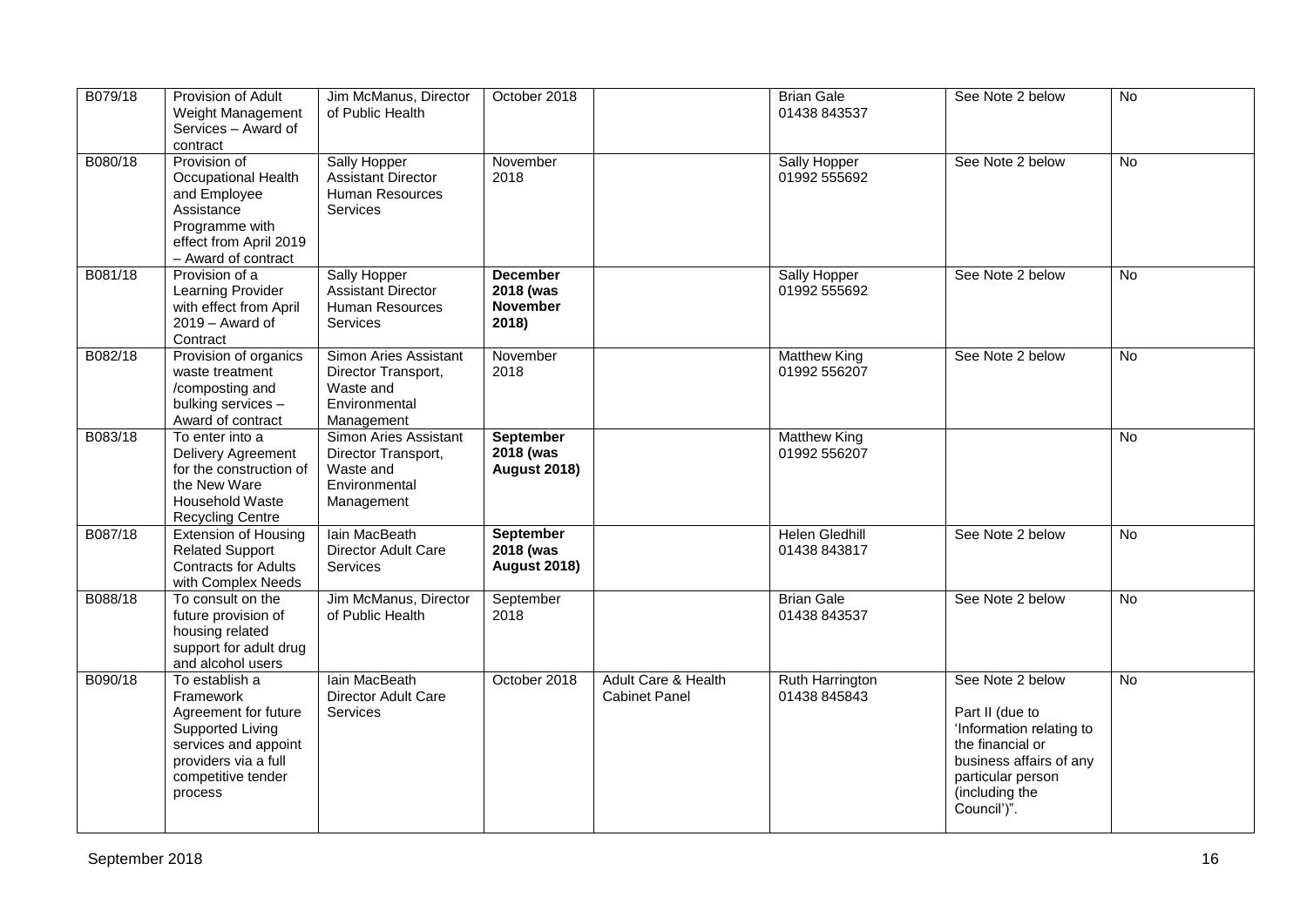| B079/18 | Provision of Adult<br>Weight Management<br>Services - Award of<br>contract                                                                               | Jim McManus, Director<br>of Public Health                                                | October 2018                                             |                                             | <b>Brian Gale</b><br>01438 843537     | See Note 2 below                                                                                                                                                     | $\overline{N}$ |
|---------|----------------------------------------------------------------------------------------------------------------------------------------------------------|------------------------------------------------------------------------------------------|----------------------------------------------------------|---------------------------------------------|---------------------------------------|----------------------------------------------------------------------------------------------------------------------------------------------------------------------|----------------|
| B080/18 | Provision of<br>Occupational Health<br>and Employee<br>Assistance<br>Programme with<br>effect from April 2019<br>- Award of contract                     | <b>Sally Hopper</b><br>Assistant Director<br>Human Resources<br><b>Services</b>          | November<br>2018                                         |                                             | Sally Hopper<br>01992 555692          | See Note 2 below                                                                                                                                                     | $\overline{N}$ |
| B081/18 | Provision of a<br>Learning Provider<br>with effect from April<br>2019 - Award of<br>Contract                                                             | Sally Hopper<br><b>Assistant Director</b><br>Human Resources<br><b>Services</b>          | <b>December</b><br>2018 (was<br><b>November</b><br>2018) |                                             | Sally Hopper<br>01992 555692          | See Note 2 below                                                                                                                                                     | <b>No</b>      |
| B082/18 | Provision of organics<br>waste treatment<br>/composting and<br>bulking services -<br>Award of contract                                                   | Simon Aries Assistant<br>Director Transport,<br>Waste and<br>Environmental<br>Management | November<br>2018                                         |                                             | <b>Matthew King</b><br>01992 556207   | See Note 2 below                                                                                                                                                     | <b>No</b>      |
| B083/18 | To enter into a<br>Delivery Agreement<br>for the construction of<br>the New Ware<br><b>Household Waste</b><br><b>Recycling Centre</b>                    | Simon Aries Assistant<br>Director Transport,<br>Waste and<br>Environmental<br>Management | <b>September</b><br>2018 (was<br><b>August 2018)</b>     |                                             | <b>Matthew King</b><br>01992 556207   |                                                                                                                                                                      | <b>No</b>      |
| B087/18 | <b>Extension of Housing</b><br><b>Related Support</b><br><b>Contracts for Adults</b><br>with Complex Needs                                               | lain MacBeath<br>Director Adult Care<br><b>Services</b>                                  | <b>September</b><br>2018 (was<br><b>August 2018)</b>     |                                             | <b>Helen Gledhill</b><br>01438 843817 | See Note 2 below                                                                                                                                                     | $\overline{N}$ |
| B088/18 | To consult on the<br>future provision of<br>housing related<br>support for adult drug<br>and alcohol users                                               | Jim McManus, Director<br>of Public Health                                                | September<br>2018                                        |                                             | <b>Brian Gale</b><br>01438 843537     | See Note 2 below                                                                                                                                                     | No             |
| B090/18 | To establish a<br>Framework<br>Agreement for future<br>Supported Living<br>services and appoint<br>providers via a full<br>competitive tender<br>process | Iain MacBeath<br>Director Adult Care<br><b>Services</b>                                  | October 2018                                             | Adult Care & Health<br><b>Cabinet Panel</b> | Ruth Harrington<br>01438 845843       | See Note 2 below<br>Part II (due to<br>'Information relating to<br>the financial or<br>business affairs of any<br>particular person<br>(including the<br>Council')". | No             |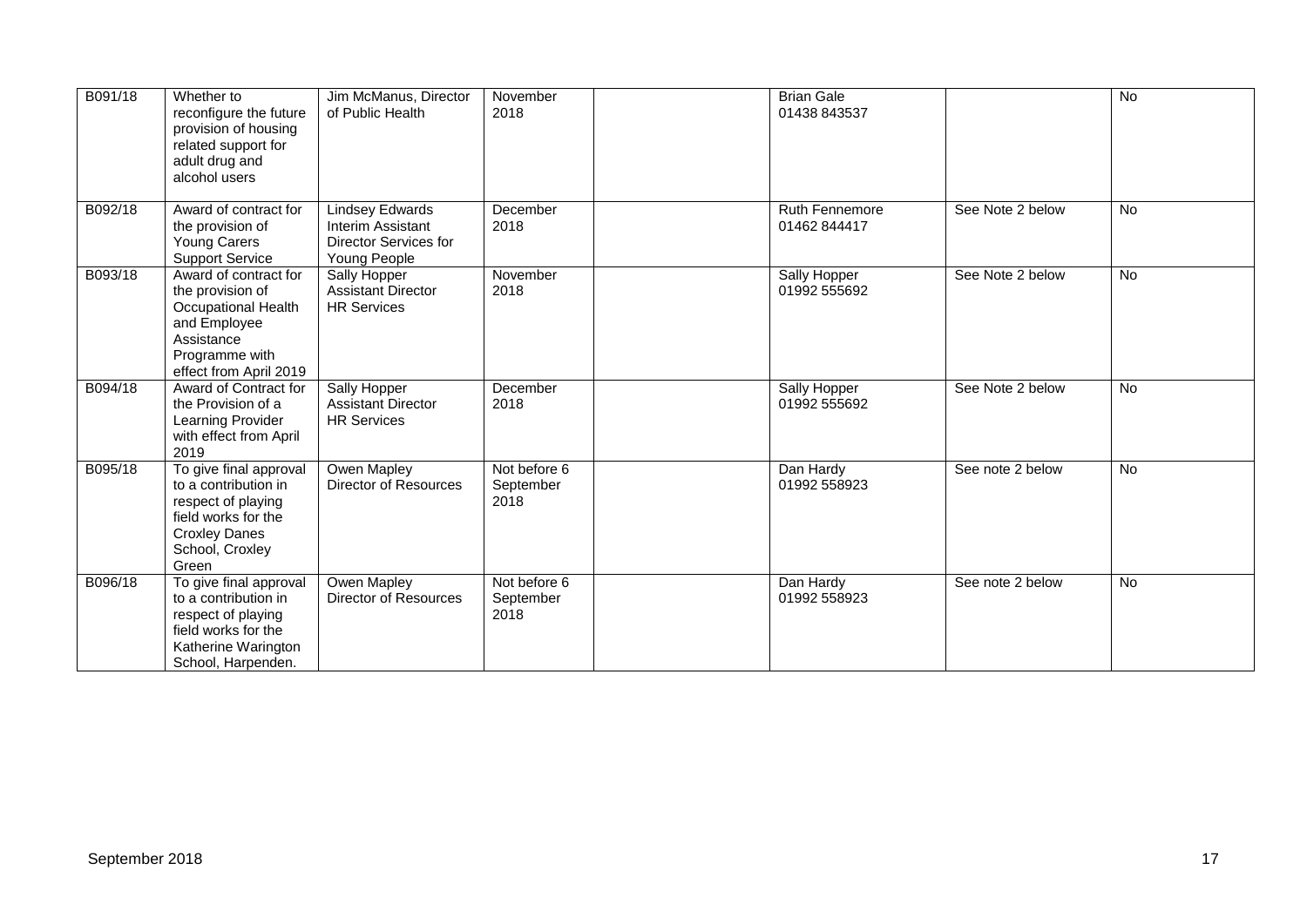| B091/18 | Whether to<br>reconfigure the future<br>provision of housing<br>related support for<br>adult drug and<br>alcohol users                          | Jim McManus, Director<br>of Public Health                                            | November<br>2018                  | <b>Brian Gale</b><br>01438 843537 |                  | $\overline{N}$ |
|---------|-------------------------------------------------------------------------------------------------------------------------------------------------|--------------------------------------------------------------------------------------|-----------------------------------|-----------------------------------|------------------|----------------|
| B092/18 | Award of contract for<br>the provision of<br><b>Young Carers</b><br><b>Support Service</b>                                                      | <b>Lindsey Edwards</b><br>Interim Assistant<br>Director Services for<br>Young People | December<br>2018                  | Ruth Fennemore<br>01462 844417    | See Note 2 below | No             |
| B093/18 | Award of contract for<br>the provision of<br>Occupational Health<br>and Employee<br>Assistance<br>Programme with<br>effect from April 2019      | Sally Hopper<br><b>Assistant Director</b><br><b>HR Services</b>                      | November<br>2018                  | Sally Hopper<br>01992 555692      | See Note 2 below | No             |
| B094/18 | Award of Contract for<br>the Provision of a<br>Learning Provider<br>with effect from April<br>2019                                              | Sally Hopper<br><b>Assistant Director</b><br><b>HR Services</b>                      | December<br>2018                  | Sally Hopper<br>01992 555692      | See Note 2 below | <b>No</b>      |
| B095/18 | To give final approval<br>to a contribution in<br>respect of playing<br>field works for the<br><b>Croxley Danes</b><br>School, Croxley<br>Green | Owen Mapley<br>Director of Resources                                                 | Not before 6<br>September<br>2018 | Dan Hardy<br>01992 558923         | See note 2 below | $\overline{N}$ |
| B096/18 | To give final approval<br>to a contribution in<br>respect of playing<br>field works for the<br>Katherine Warington<br>School, Harpenden.        | Owen Mapley<br>Director of Resources                                                 | Not before 6<br>September<br>2018 | Dan Hardy<br>01992 558923         | See note 2 below | No             |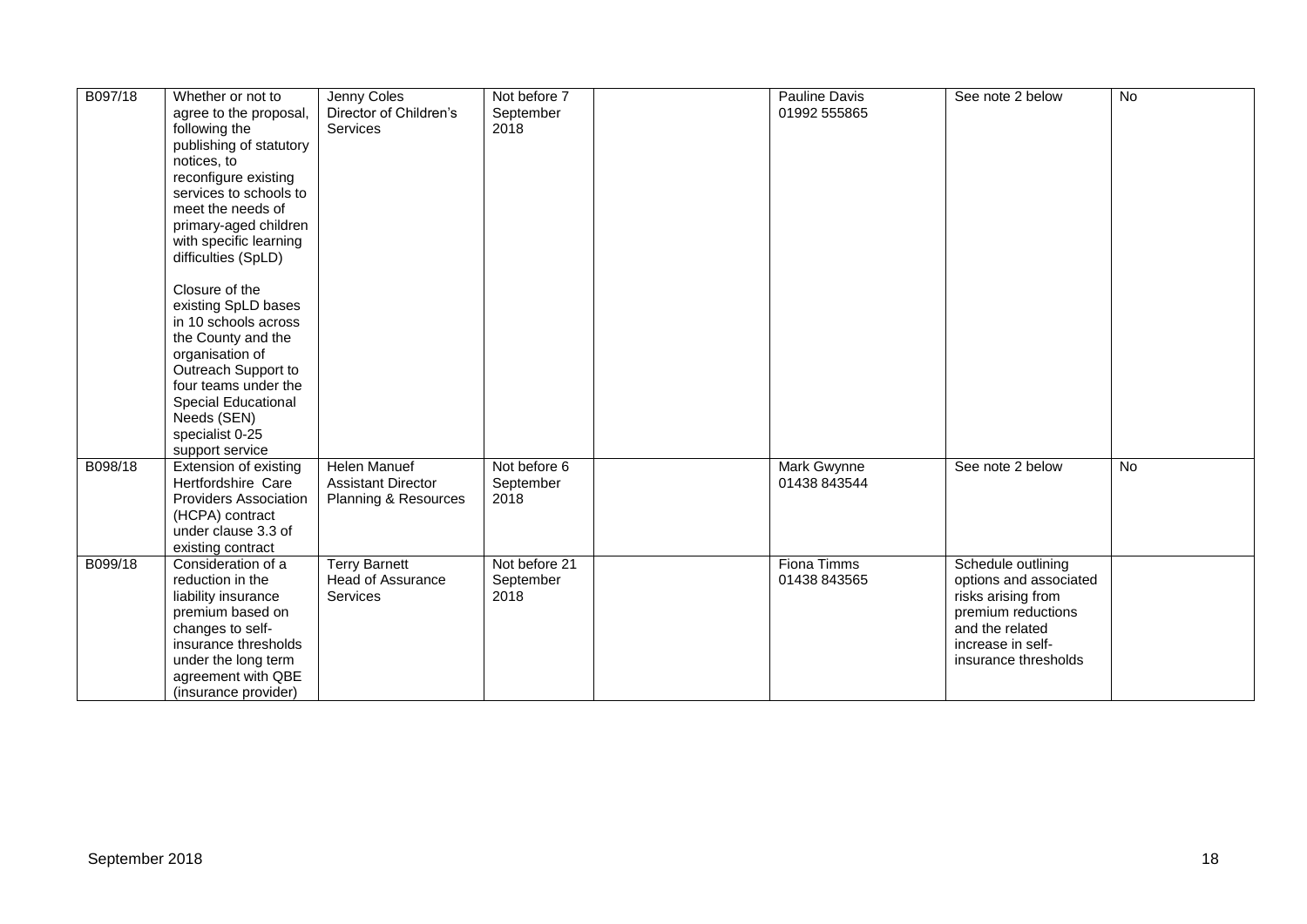| B097/18 | Whether or not to<br>agree to the proposal,<br>following the<br>publishing of statutory<br>notices, to<br>reconfigure existing<br>services to schools to<br>meet the needs of<br>primary-aged children<br>with specific learning<br>difficulties (SpLD)<br>Closure of the<br>existing SpLD bases<br>in 10 schools across<br>the County and the<br>organisation of<br>Outreach Support to<br>four teams under the<br><b>Special Educational</b><br>Needs (SEN)<br>specialist 0-25 | Jenny Coles<br>Director of Children's<br><b>Services</b>          | Not before 7<br>September<br>2018  | Pauline Davis<br>01992 555865 | See note 2 below                                                                                                                                         | $\overline{N}$ |
|---------|----------------------------------------------------------------------------------------------------------------------------------------------------------------------------------------------------------------------------------------------------------------------------------------------------------------------------------------------------------------------------------------------------------------------------------------------------------------------------------|-------------------------------------------------------------------|------------------------------------|-------------------------------|----------------------------------------------------------------------------------------------------------------------------------------------------------|----------------|
| B098/18 | support service<br>Extension of existing<br>Hertfordshire Care<br><b>Providers Association</b><br>(HCPA) contract<br>under clause 3.3 of<br>existing contract                                                                                                                                                                                                                                                                                                                    | Helen Manuef<br><b>Assistant Director</b><br>Planning & Resources | Not before 6<br>September<br>2018  | Mark Gwynne<br>01438 843544   | See note 2 below                                                                                                                                         | No             |
| B099/18 | Consideration of a<br>reduction in the<br>liability insurance<br>premium based on<br>changes to self-<br>insurance thresholds<br>under the long term<br>agreement with QBE<br>(insurance provider)                                                                                                                                                                                                                                                                               | <b>Terry Barnett</b><br><b>Head of Assurance</b><br>Services      | Not before 21<br>September<br>2018 | Fiona Timms<br>01438 843565   | Schedule outlining<br>options and associated<br>risks arising from<br>premium reductions<br>and the related<br>increase in self-<br>insurance thresholds |                |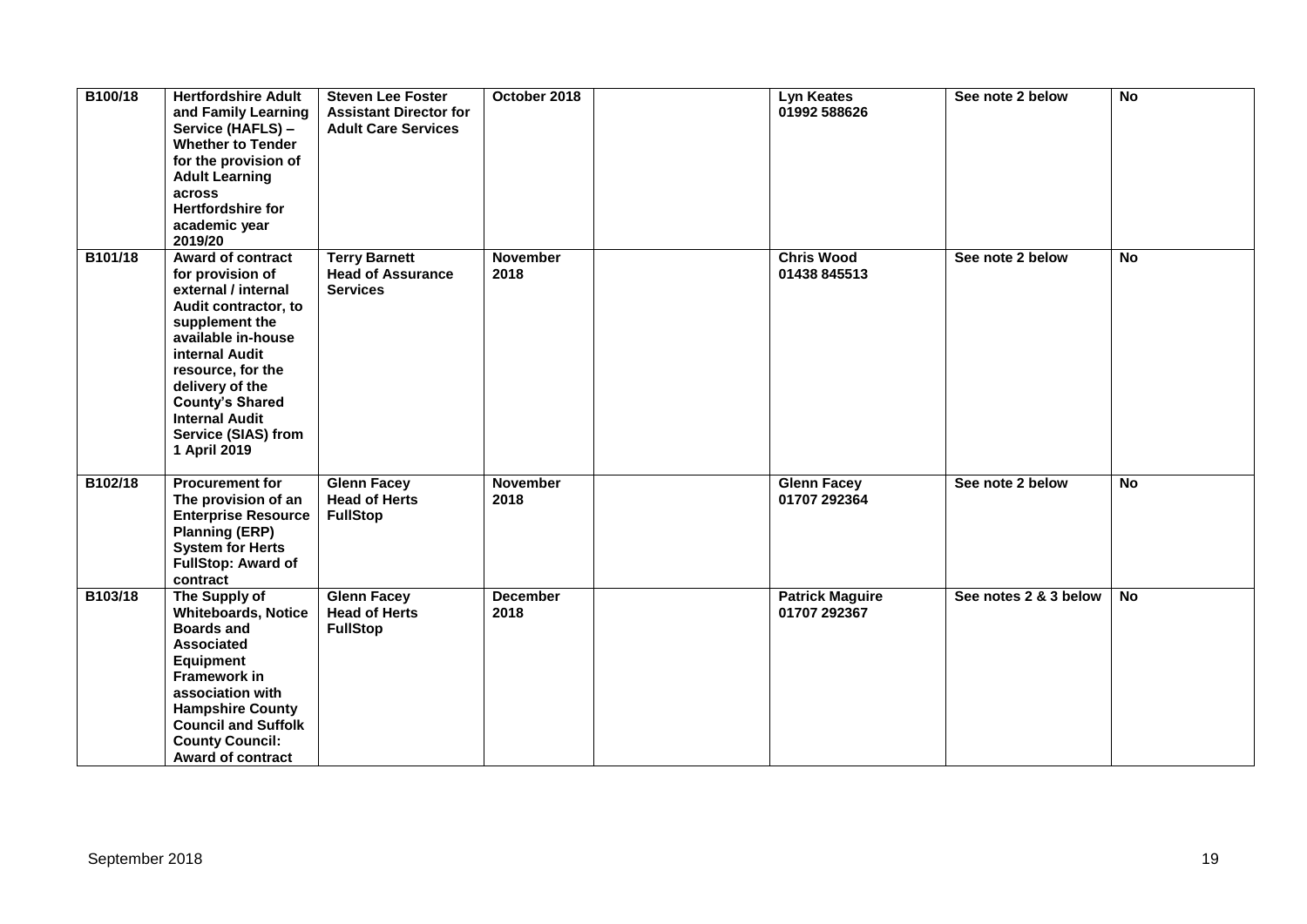| B100/18 | <b>Hertfordshire Adult</b><br>and Family Learning<br>Service (HAFLS) -<br><b>Whether to Tender</b><br>for the provision of<br><b>Adult Learning</b><br>across<br><b>Hertfordshire for</b><br>academic year<br>2019/20                                                                   | <b>Steven Lee Foster</b><br><b>Assistant Director for</b><br><b>Adult Care Services</b> | October 2018            | Lyn Keates<br>01992 588626             | See note 2 below      | No        |
|---------|-----------------------------------------------------------------------------------------------------------------------------------------------------------------------------------------------------------------------------------------------------------------------------------------|-----------------------------------------------------------------------------------------|-------------------------|----------------------------------------|-----------------------|-----------|
| B101/18 | <b>Award of contract</b><br>for provision of<br>external / internal<br>Audit contractor, to<br>supplement the<br>available in-house<br>internal Audit<br>resource, for the<br>delivery of the<br><b>County's Shared</b><br><b>Internal Audit</b><br>Service (SIAS) from<br>1 April 2019 | <b>Terry Barnett</b><br><b>Head of Assurance</b><br><b>Services</b>                     | <b>November</b><br>2018 | <b>Chris Wood</b><br>01438 845513      | See note 2 below      | <b>No</b> |
| B102/18 | <b>Procurement for</b><br>The provision of an<br><b>Enterprise Resource</b><br><b>Planning (ERP)</b><br><b>System for Herts</b><br><b>FullStop: Award of</b><br>contract                                                                                                                | <b>Glenn Facey</b><br><b>Head of Herts</b><br><b>FullStop</b>                           | <b>November</b><br>2018 | <b>Glenn Facey</b><br>01707 292364     | See note 2 below      | <b>No</b> |
| B103/18 | The Supply of<br><b>Whiteboards, Notice</b><br><b>Boards and</b><br><b>Associated</b><br><b>Equipment</b><br><b>Framework in</b><br>association with<br><b>Hampshire County</b><br><b>Council and Suffolk</b><br><b>County Council:</b><br><b>Award of contract</b>                     | <b>Glenn Facey</b><br><b>Head of Herts</b><br><b>FullStop</b>                           | <b>December</b><br>2018 | <b>Patrick Maguire</b><br>01707 292367 | See notes 2 & 3 below | No        |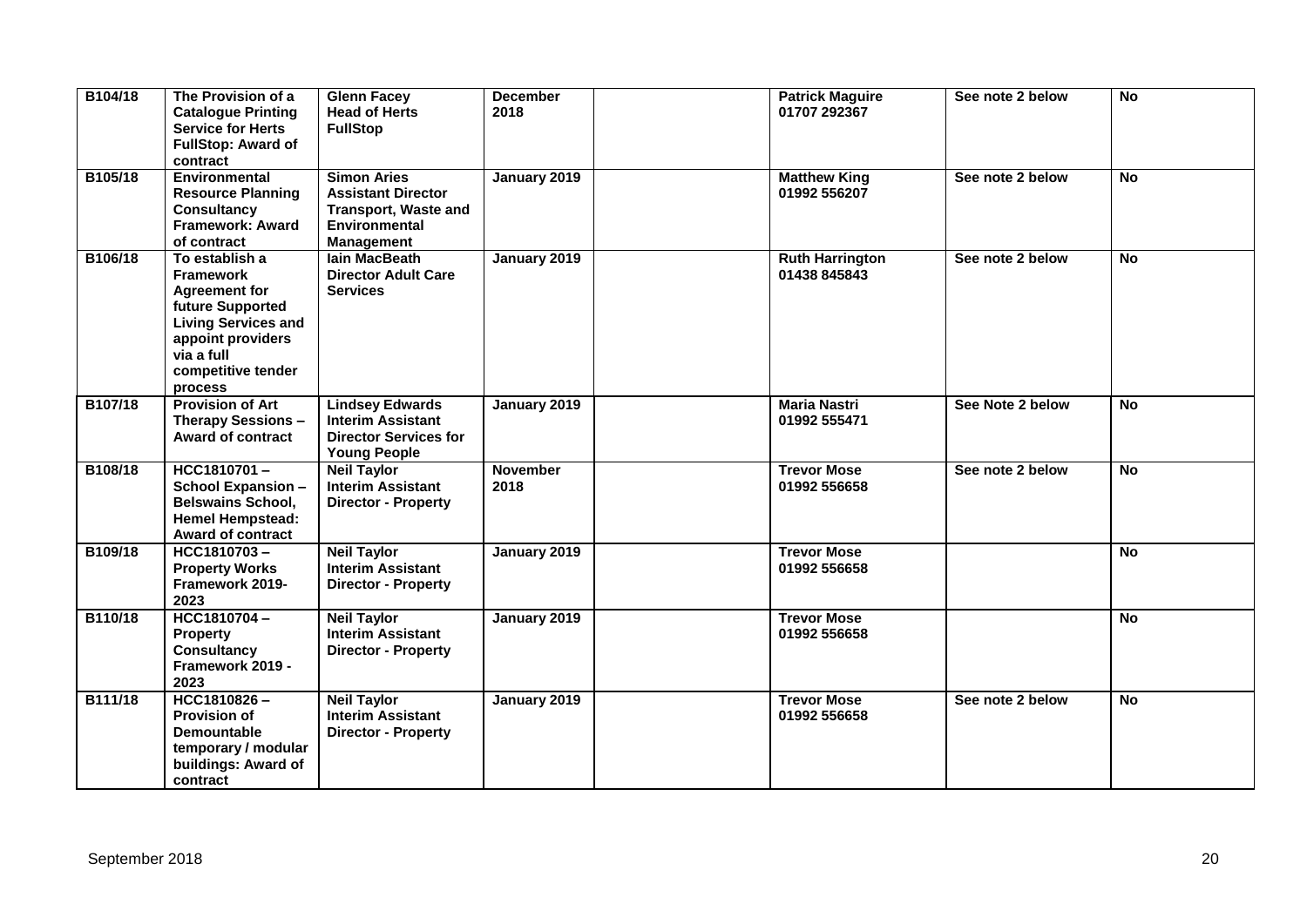| B104/18 | The Provision of a<br><b>Catalogue Printing</b><br><b>Service for Herts</b><br><b>FullStop: Award of</b><br>contract                                                             | <b>Glenn Facey</b><br><b>Head of Herts</b><br><b>FullStop</b>                                                        | <b>December</b><br>2018 | <b>Patrick Maguire</b><br>01707 292367 | See note 2 below | <b>No</b>      |
|---------|----------------------------------------------------------------------------------------------------------------------------------------------------------------------------------|----------------------------------------------------------------------------------------------------------------------|-------------------------|----------------------------------------|------------------|----------------|
| B105/18 | Environmental<br><b>Resource Planning</b><br><b>Consultancy</b><br><b>Framework: Award</b><br>of contract                                                                        | <b>Simon Aries</b><br><b>Assistant Director</b><br><b>Transport, Waste and</b><br><b>Environmental</b><br>Management | January 2019            | <b>Matthew King</b><br>01992 556207    | See note 2 below | <b>No</b>      |
| B106/18 | To establish a<br><b>Framework</b><br><b>Agreement for</b><br>future Supported<br><b>Living Services and</b><br>appoint providers<br>via a full<br>competitive tender<br>process | lain MacBeath<br><b>Director Adult Care</b><br><b>Services</b>                                                       | January 2019            | <b>Ruth Harrington</b><br>01438 845843 | See note 2 below | $\overline{N}$ |
| B107/18 | <b>Provision of Art</b><br>Therapy Sessions -<br><b>Award of contract</b>                                                                                                        | <b>Lindsey Edwards</b><br><b>Interim Assistant</b><br><b>Director Services for</b><br><b>Young People</b>            | January 2019            | <b>Maria Nastri</b><br>01992 555471    | See Note 2 below | <b>No</b>      |
| B108/18 | HCC1810701-<br><b>School Expansion -</b><br><b>Belswains School,</b><br><b>Hemel Hempstead:</b><br><b>Award of contract</b>                                                      | <b>Neil Taylor</b><br><b>Interim Assistant</b><br><b>Director - Property</b>                                         | <b>November</b><br>2018 | <b>Trevor Mose</b><br>01992 556658     | See note 2 below | <b>No</b>      |
| B109/18 | HCC1810703-<br><b>Property Works</b><br>Framework 2019-<br>2023                                                                                                                  | <b>Neil Taylor</b><br><b>Interim Assistant</b><br><b>Director - Property</b>                                         | January 2019            | <b>Trevor Mose</b><br>01992 556658     |                  | <b>No</b>      |
| B110/18 | HCC1810704-<br><b>Property</b><br><b>Consultancy</b><br>Framework 2019 -<br>2023                                                                                                 | <b>Neil Taylor</b><br><b>Interim Assistant</b><br><b>Director - Property</b>                                         | January 2019            | <b>Trevor Mose</b><br>01992 556658     |                  | No             |
| B111/18 | HCC1810826-<br><b>Provision of</b><br><b>Demountable</b><br>temporary / modular<br>buildings: Award of<br>contract                                                               | <b>Neil Taylor</b><br><b>Interim Assistant</b><br><b>Director - Property</b>                                         | January 2019            | <b>Trevor Mose</b><br>01992 556658     | See note 2 below | <b>No</b>      |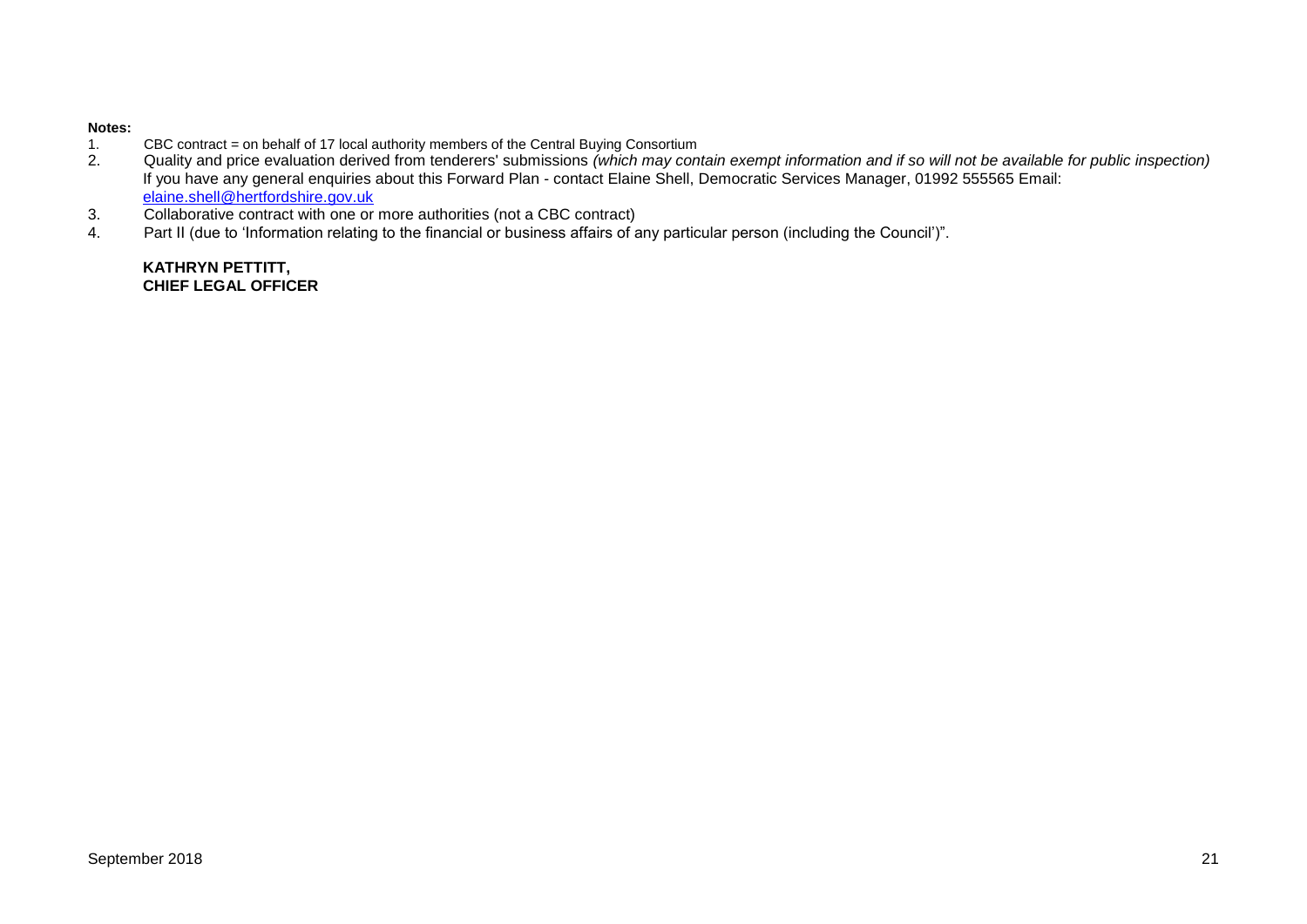# **Notes:**

- 1. CBC contract = on behalf of 17 local authority members of the Central Buying Consortium<br>2. Quality and price evaluation derived from tenderers' submissions (which may con
- 2. Quality and price evaluation derived from tenderers' submissions *(which may contain exempt information and if so will not be available for public inspection)* If you have any general enquiries about this Forward Plan - contact Elaine Shell, Democratic Services Manager, 01992 555565 Email: [elaine.shell@hertfordshire.gov.uk](mailto:elaine.shell@hertfordshire.gov.uk)
- 3. Collaborative contract with one or more authorities (not a CBC contract)
- 4. Part II (due to 'Information relating to the financial or business affairs of any particular person (including the Council')".

**KATHRYN PETTITT, CHIEF LEGAL OFFICER**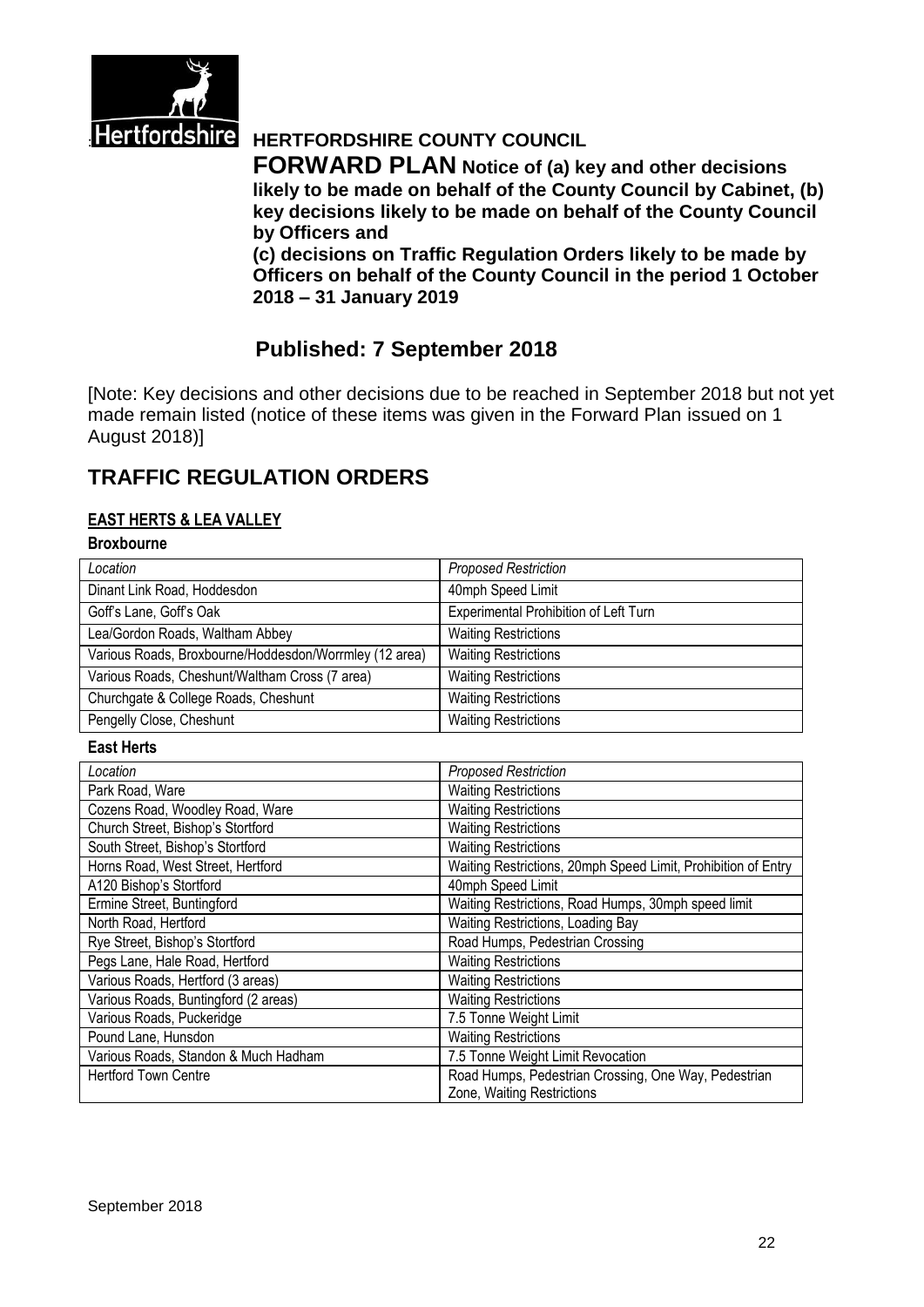

# **Hertfordshire** HERTFORDSHIRE COUNTY COUNCIL

**FORWARD PLAN Notice of (a) key and other decisions likely to be made on behalf of the County Council by Cabinet, (b) key decisions likely to be made on behalf of the County Council by Officers and** 

**(c) decisions on Traffic Regulation Orders likely to be made by Officers on behalf of the County Council in the period 1 October 2018 – 31 January 2019**

# **Published: 7 September 2018**

[Note: Key decisions and other decisions due to be reached in September 2018 but not yet made remain listed (notice of these items was given in the Forward Plan issued on 1 August 2018)]

# **TRAFFIC REGULATION ORDERS**

#### **EAST HERTS & LEA VALLEY**

#### **Broxbourne**

| Location                                               | <b>Proposed Restriction</b>                                   |
|--------------------------------------------------------|---------------------------------------------------------------|
| Dinant Link Road, Hoddesdon                            | 40mph Speed Limit                                             |
| Goff's Lane, Goff's Oak                                | Experimental Prohibition of Left Turn                         |
| Lea/Gordon Roads, Waltham Abbey                        | <b>Waiting Restrictions</b>                                   |
| Various Roads, Broxbourne/Hoddesdon/Worrmley (12 area) | <b>Waiting Restrictions</b>                                   |
| Various Roads, Cheshunt/Waltham Cross (7 area)         | <b>Waiting Restrictions</b>                                   |
| Churchgate & College Roads, Cheshunt                   | <b>Waiting Restrictions</b>                                   |
| Pengelly Close, Cheshunt                               | <b>Waiting Restrictions</b>                                   |
|                                                        |                                                               |
| <b>East Herts</b>                                      |                                                               |
| Location                                               | <b>Proposed Restriction</b>                                   |
| Park Road, Ware                                        | <b>Waiting Restrictions</b>                                   |
| Cozens Road, Woodley Road, Ware                        | <b>Waiting Restrictions</b>                                   |
| Church Street, Bishop's Stortford                      | <b>Waiting Restrictions</b>                                   |
| South Street, Bishop's Stortford                       | <b>Waiting Restrictions</b>                                   |
| Horns Road, West Street, Hertford                      | Waiting Restrictions, 20mph Speed Limit, Prohibition of Entry |
| A120 Bishop's Stortford                                | 40mph Speed Limit                                             |
| Ermine Street, Buntingford                             | Waiting Restrictions, Road Humps, 30mph speed limit           |

| Pegs Lane, Hale Road, Hertford       | <b>Waiting Restrictions</b>                                                        |
|--------------------------------------|------------------------------------------------------------------------------------|
| Various Roads, Hertford (3 areas)    | <b>Waiting Restrictions</b>                                                        |
| Various Roads, Buntingford (2 areas) | <b>Waiting Restrictions</b>                                                        |
| Various Roads, Puckeridge            | 7.5 Tonne Weight Limit                                                             |
| Pound Lane, Hunsdon                  | <b>Waiting Restrictions</b>                                                        |
| Various Roads, Standon & Much Hadham | 7.5 Tonne Weight Limit Revocation                                                  |
| <b>Hertford Town Centre</b>          | Road Humps, Pedestrian Crossing, One Way, Pedestrian<br>Zone, Waiting Restrictions |
|                                      |                                                                                    |
|                                      |                                                                                    |
|                                      |                                                                                    |

Rye Street, Bishop's Stortford Road Humps, Pedestrian Crossing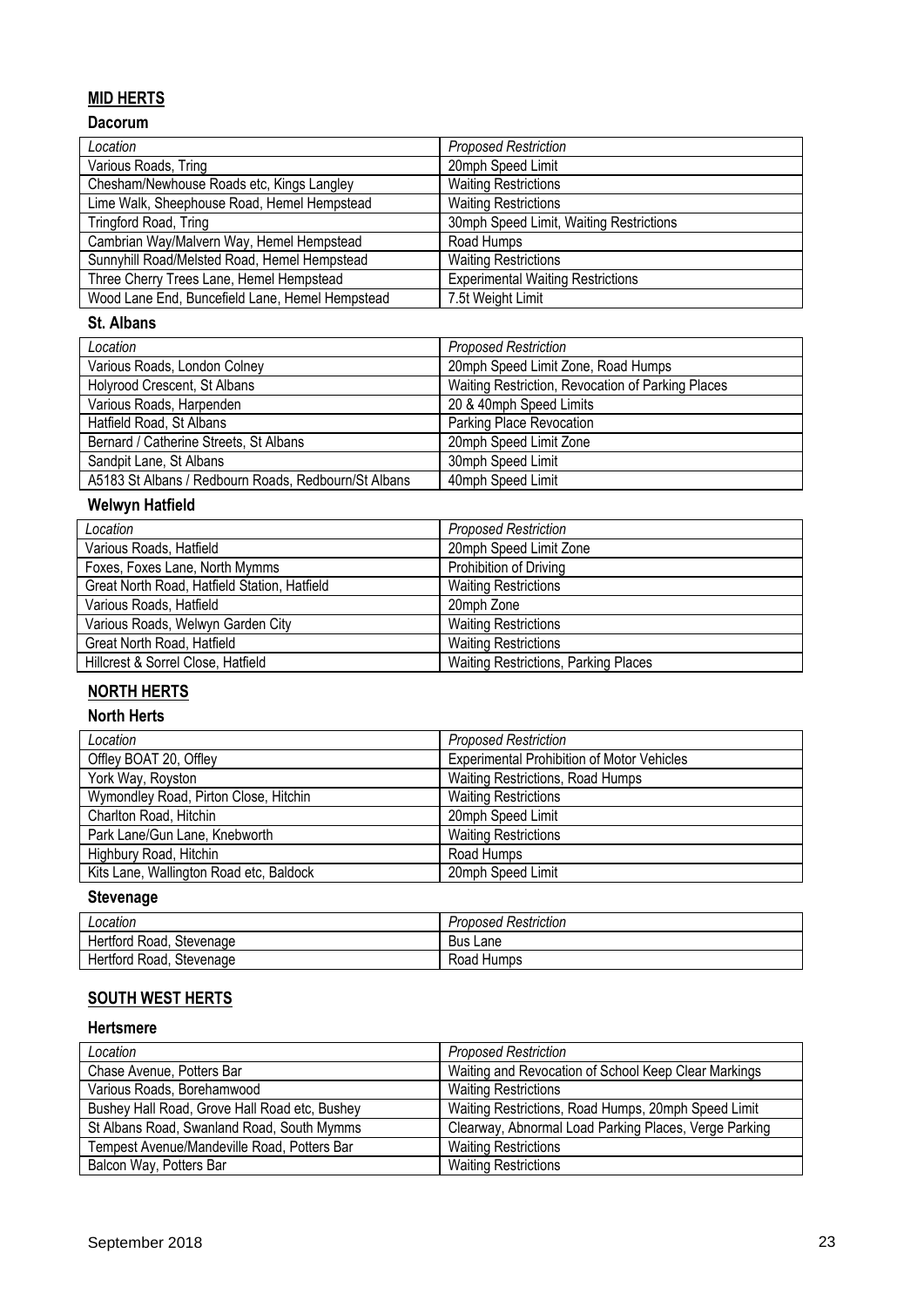### **MID HERTS**

#### **Dacorum**

| Location                                        | <b>Proposed Restriction</b>              |
|-------------------------------------------------|------------------------------------------|
| Various Roads, Tring                            | 20mph Speed Limit                        |
| Chesham/Newhouse Roads etc, Kings Langley       | <b>Waiting Restrictions</b>              |
| Lime Walk, Sheephouse Road, Hemel Hempstead     | <b>Waiting Restrictions</b>              |
| Tringford Road, Tring                           | 30mph Speed Limit, Waiting Restrictions  |
| Cambrian Way/Malvern Way, Hemel Hempstead       | Road Humps                               |
| Sunnyhill Road/Melsted Road, Hemel Hempstead    | <b>Waiting Restrictions</b>              |
| Three Cherry Trees Lane, Hemel Hempstead        | <b>Experimental Waiting Restrictions</b> |
| Wood Lane End, Buncefield Lane, Hemel Hempstead | 7.5t Weight Limit                        |

#### **St. Albans**

| Location                                             | <b>Proposed Restriction</b>                       |
|------------------------------------------------------|---------------------------------------------------|
| Various Roads, London Colney                         | 20mph Speed Limit Zone, Road Humps                |
| Holyrood Crescent, St Albans                         | Waiting Restriction, Revocation of Parking Places |
| Various Roads, Harpenden                             | 20 & 40mph Speed Limits                           |
| Hatfield Road, St Albans                             | Parking Place Revocation                          |
| Bernard / Catherine Streets, St Albans               | 20mph Speed Limit Zone                            |
| Sandpit Lane, St Albans                              | 30mph Speed Limit                                 |
| A5183 St Albans / Redbourn Roads, Redbourn/St Albans | 40mph Speed Limit                                 |

# **Welwyn Hatfield**

| Location                                     | <b>Proposed Restriction</b>                 |
|----------------------------------------------|---------------------------------------------|
| Various Roads, Hatfield                      | 20mph Speed Limit Zone                      |
| Foxes, Foxes Lane, North Mymms               | Prohibition of Driving                      |
| Great North Road, Hatfield Station, Hatfield | <b>Waiting Restrictions</b>                 |
| Various Roads, Hatfield                      | 20mph Zone                                  |
| Various Roads, Welwyn Garden City            | <b>Waiting Restrictions</b>                 |
| Great North Road, Hatfield                   | <b>Waiting Restrictions</b>                 |
| Hillcrest & Sorrel Close, Hatfield           | <b>Waiting Restrictions, Parking Places</b> |

## **NORTH HERTS**

#### **North Herts**

| Location                                | <b>Proposed Restriction</b>                       |
|-----------------------------------------|---------------------------------------------------|
| Offley BOAT 20, Offley                  | <b>Experimental Prohibition of Motor Vehicles</b> |
| York Way, Royston                       | Waiting Restrictions, Road Humps                  |
| Wymondley Road, Pirton Close, Hitchin   | <b>Waiting Restrictions</b>                       |
| Charlton Road, Hitchin                  | 20mph Speed Limit                                 |
| Park Lane/Gun Lane, Knebworth           | <b>Waiting Restrictions</b>                       |
| Highbury Road, Hitchin                  | Road Humps                                        |
| Kits Lane, Wallington Road etc, Baldock | 20mph Speed Limit                                 |

# **Stevenage**

| Location                 | <b>Proposed Restriction</b> |
|--------------------------|-----------------------------|
| Hertford Road, Stevenage | Bus Lane                    |
| Hertford Road, Stevenage | Road Humps                  |

### **SOUTH WEST HERTS**

#### **Hertsmere**

| Location                                      | <b>Proposed Restriction</b>                           |
|-----------------------------------------------|-------------------------------------------------------|
| Chase Avenue, Potters Bar                     | Waiting and Revocation of School Keep Clear Markings  |
| Various Roads, Borehamwood                    | <b>Waiting Restrictions</b>                           |
| Bushey Hall Road, Grove Hall Road etc, Bushey | Waiting Restrictions, Road Humps, 20mph Speed Limit   |
| St Albans Road, Swanland Road, South Mymms    | Clearway, Abnormal Load Parking Places, Verge Parking |
| Tempest Avenue/Mandeville Road, Potters Bar   | <b>Waiting Restrictions</b>                           |
| Balcon Way, Potters Bar                       | <b>Waiting Restrictions</b>                           |